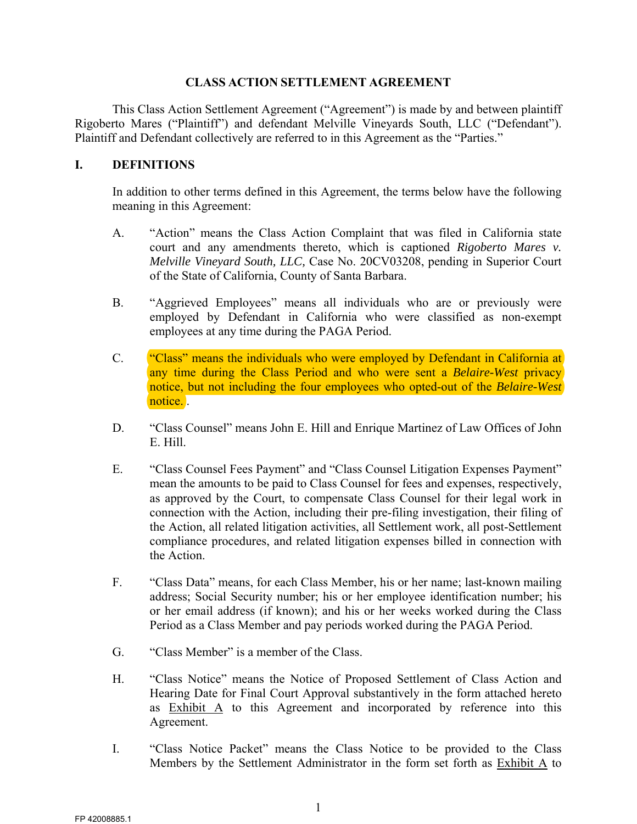#### **CLASS ACTION SETTLEMENT AGREEMENT**

This Class Action Settlement Agreement ("Agreement") is made by and between plaintiff Rigoberto Mares ("Plaintiff") and defendant Melville Vineyards South, LLC ("Defendant"). Plaintiff and Defendant collectively are referred to in this Agreement as the "Parties."

### **I. DEFINITIONS**

In addition to other terms defined in this Agreement, the terms below have the following meaning in this Agreement:

- A. "Action" means the Class Action Complaint that was filed in California state court and any amendments thereto, which is captioned *Rigoberto Mares v. Melville Vineyard South, LLC,* Case No. 20CV03208, pending in Superior Court of the State of California, County of Santa Barbara.
- B. "Aggrieved Employees" means all individuals who are or previously were employed by Defendant in California who were classified as non-exempt employees at any time during the PAGA Period.
- C. "Class" means the individuals who were employed by Defendant in California at any time during the Class Period and who were sent a *Belaire-West* privacy notice, but not including the four employees who opted-out of the *Belaire-West* notice. .
- D. "Class Counsel" means John E. Hill and Enrique Martinez of Law Offices of John E. Hill.
- E. "Class Counsel Fees Payment" and "Class Counsel Litigation Expenses Payment" mean the amounts to be paid to Class Counsel for fees and expenses, respectively, as approved by the Court, to compensate Class Counsel for their legal work in connection with the Action, including their pre-filing investigation, their filing of the Action, all related litigation activities, all Settlement work, all post-Settlement compliance procedures, and related litigation expenses billed in connection with the Action.
- F. "Class Data" means, for each Class Member, his or her name; last-known mailing address; Social Security number; his or her employee identification number; his or her email address (if known); and his or her weeks worked during the Class Period as a Class Member and pay periods worked during the PAGA Period.
- G. "Class Member" is a member of the Class.
- H. "Class Notice" means the Notice of Proposed Settlement of Class Action and Hearing Date for Final Court Approval substantively in the form attached hereto as Exhibit A to this Agreement and incorporated by reference into this Agreement.
- I. "Class Notice Packet" means the Class Notice to be provided to the Class Members by the Settlement Administrator in the form set forth as Exhibit A to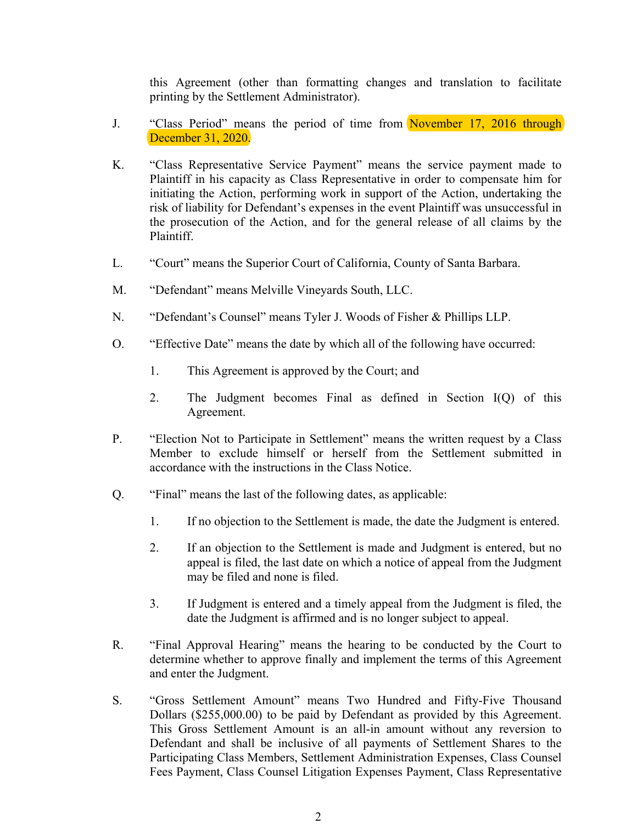this Agreement (other than formatting changes and translation to facilitate printing by the Settlement Administrator).

- J. "Class Period" means the period of time from November 17, 2016 through December 31, 2020.
- K. "Class Representative Service Payment" means the service payment made to Plaintiff in his capacity as Class Representative in order to compensate him for initiating the Action, performing work in support of the Action, undertaking the risk of liability for Defendant's expenses in the event Plaintiff was unsuccessful in the prosecution of the Action, and for the general release of all claims by the Plaintiff.
- L. "Court" means the Superior Court of California, County of Santa Barbara.
- M. "Defendant" means Melville Vineyards South, LLC.
- N. "Defendant's Counsel" means Tyler J. Woods of Fisher & Phillips LLP.
- O. "Effective Date" means the date by which all of the following have occurred:
	- 1. This Agreement is approved by the Court; and
	- 2. The Judgment becomes Final as defined in Section I(Q) of this Agreement.
- P. "Election Not to Participate in Settlement" means the written request by a Class Member to exclude himself or herself from the Settlement submitted in accordance with the instructions in the Class Notice.
- Q. "Final" means the last of the following dates, as applicable:
	- 1. If no objection to the Settlement is made, the date the Judgment is entered.
	- 2. If an objection to the Settlement is made and Judgment is entered, but no appeal is filed, the last date on which a notice of appeal from the Judgment may be filed and none is filed.
	- 3. If Judgment is entered and a timely appeal from the Judgment is filed, the date the Judgment is affirmed and is no longer subject to appeal.
- R. "Final Approval Hearing" means the hearing to be conducted by the Court to determine whether to approve finally and implement the terms of this Agreement and enter the Judgment.
- S. "Gross Settlement Amount" means Two Hundred and Fifty-Five Thousand Dollars (\$255,000.00) to be paid by Defendant as provided by this Agreement. This Gross Settlement Amount is an all-in amount without any reversion to Defendant and shall be inclusive of all payments of Settlement Shares to the Participating Class Members, Settlement Administration Expenses, Class Counsel Fees Payment, Class Counsel Litigation Expenses Payment, Class Representative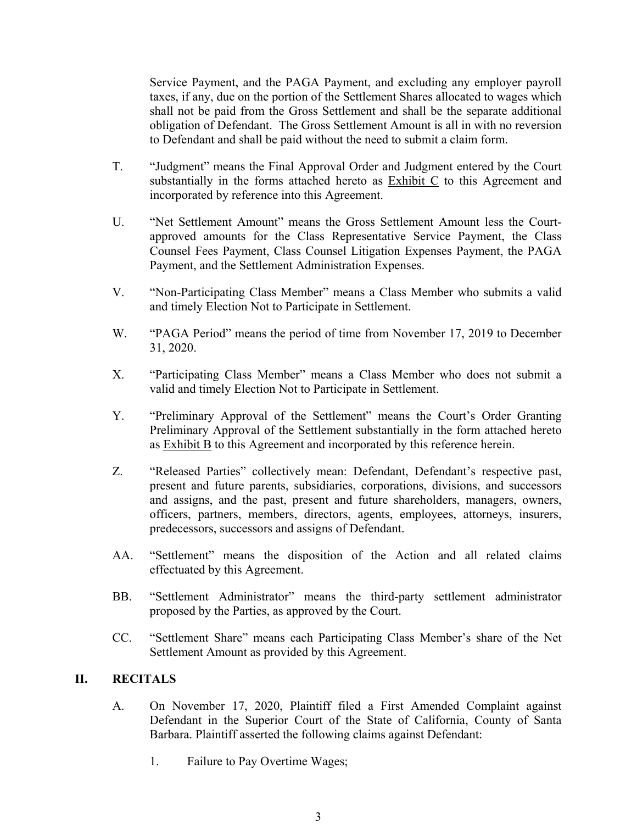Service Payment, and the PAGA Payment, and excluding any employer payroll taxes, if any, due on the portion of the Settlement Shares allocated to wages which shall not be paid from the Gross Settlement and shall be the separate additional obligation of Defendant. The Gross Settlement Amount is all in with no reversion to Defendant and shall be paid without the need to submit a claim form.

- T. "Judgment" means the Final Approval Order and Judgment entered by the Court substantially in the forms attached hereto as Exhibit C to this Agreement and incorporated by reference into this Agreement.
- U. "Net Settlement Amount" means the Gross Settlement Amount less the Courtapproved amounts for the Class Representative Service Payment, the Class Counsel Fees Payment, Class Counsel Litigation Expenses Payment, the PAGA Payment, and the Settlement Administration Expenses.
- V. "Non-Participating Class Member" means a Class Member who submits a valid and timely Election Not to Participate in Settlement.
- W. "PAGA Period" means the period of time from November 17, 2019 to December 31, 2020.
- X. "Participating Class Member" means a Class Member who does not submit a valid and timely Election Not to Participate in Settlement.
- Y. "Preliminary Approval of the Settlement" means the Court's Order Granting Preliminary Approval of the Settlement substantially in the form attached hereto as Exhibit B to this Agreement and incorporated by this reference herein.
- Z. "Released Parties" collectively mean: Defendant, Defendant's respective past, present and future parents, subsidiaries, corporations, divisions, and successors and assigns, and the past, present and future shareholders, managers, owners, officers, partners, members, directors, agents, employees, attorneys, insurers, predecessors, successors and assigns of Defendant.
- AA. "Settlement" means the disposition of the Action and all related claims effectuated by this Agreement.
- BB. "Settlement Administrator" means the third-party settlement administrator proposed by the Parties, as approved by the Court.
- CC. "Settlement Share" means each Participating Class Member's share of the Net Settlement Amount as provided by this Agreement.

#### **II. RECITALS**

- A. On November 17, 2020, Plaintiff filed a First Amended Complaint against Defendant in the Superior Court of the State of California, County of Santa Barbara. Plaintiff asserted the following claims against Defendant:
	- 1. Failure to Pay Overtime Wages;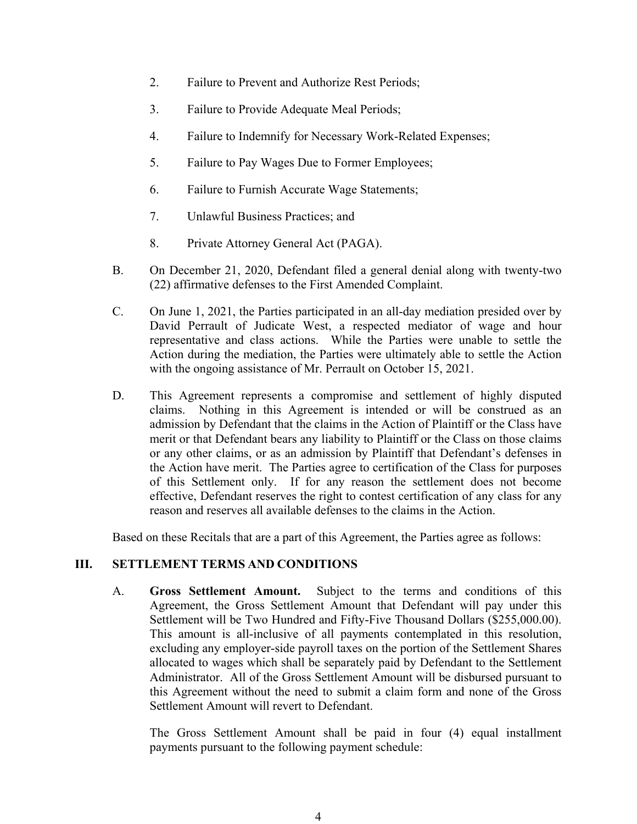- 2. Failure to Prevent and Authorize Rest Periods;
- 3. Failure to Provide Adequate Meal Periods;
- 4. Failure to Indemnify for Necessary Work-Related Expenses;
- 5. Failure to Pay Wages Due to Former Employees;
- 6. Failure to Furnish Accurate Wage Statements;
- 7. Unlawful Business Practices; and
- 8. Private Attorney General Act (PAGA).
- B. On December 21, 2020, Defendant filed a general denial along with twenty-two (22) affirmative defenses to the First Amended Complaint.
- C. On June 1, 2021, the Parties participated in an all-day mediation presided over by David Perrault of Judicate West, a respected mediator of wage and hour representative and class actions. While the Parties were unable to settle the Action during the mediation, the Parties were ultimately able to settle the Action with the ongoing assistance of Mr. Perrault on October 15, 2021.
- D. This Agreement represents a compromise and settlement of highly disputed claims. Nothing in this Agreement is intended or will be construed as an admission by Defendant that the claims in the Action of Plaintiff or the Class have merit or that Defendant bears any liability to Plaintiff or the Class on those claims or any other claims, or as an admission by Plaintiff that Defendant's defenses in the Action have merit. The Parties agree to certification of the Class for purposes of this Settlement only. If for any reason the settlement does not become effective, Defendant reserves the right to contest certification of any class for any reason and reserves all available defenses to the claims in the Action.

Based on these Recitals that are a part of this Agreement, the Parties agree as follows:

#### **III. SETTLEMENT TERMS AND CONDITIONS**

A. **Gross Settlement Amount.** Subject to the terms and conditions of this Agreement, the Gross Settlement Amount that Defendant will pay under this Settlement will be Two Hundred and Fifty-Five Thousand Dollars (\$255,000.00). This amount is all-inclusive of all payments contemplated in this resolution, excluding any employer-side payroll taxes on the portion of the Settlement Shares allocated to wages which shall be separately paid by Defendant to the Settlement Administrator. All of the Gross Settlement Amount will be disbursed pursuant to this Agreement without the need to submit a claim form and none of the Gross Settlement Amount will revert to Defendant.

The Gross Settlement Amount shall be paid in four (4) equal installment payments pursuant to the following payment schedule: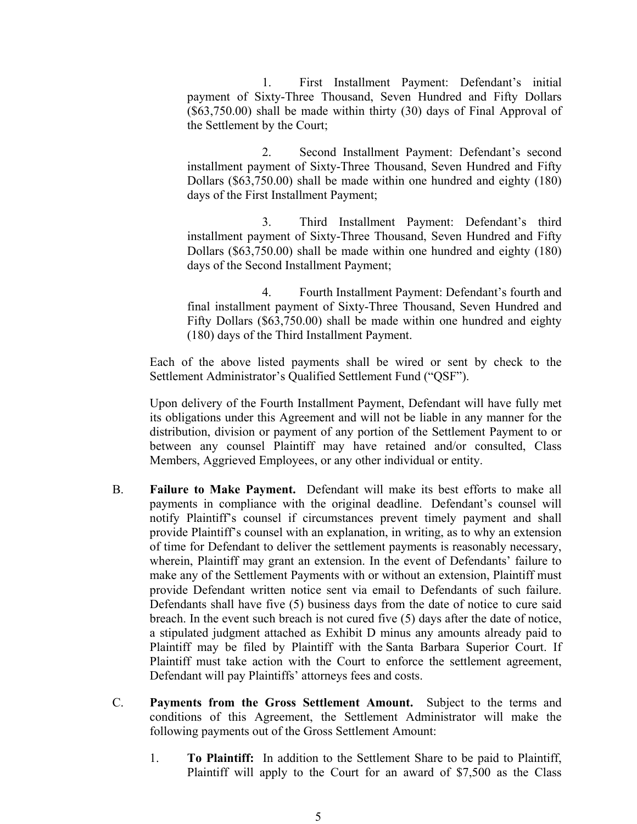1. First Installment Payment: Defendant's initial payment of Sixty-Three Thousand, Seven Hundred and Fifty Dollars (\$63,750.00) shall be made within thirty (30) days of Final Approval of the Settlement by the Court;

2. Second Installment Payment: Defendant's second installment payment of Sixty-Three Thousand, Seven Hundred and Fifty Dollars (\$63,750.00) shall be made within one hundred and eighty (180) days of the First Installment Payment;

3. Third Installment Payment: Defendant's third installment payment of Sixty-Three Thousand, Seven Hundred and Fifty Dollars (\$63,750.00) shall be made within one hundred and eighty (180) days of the Second Installment Payment;

4. Fourth Installment Payment: Defendant's fourth and final installment payment of Sixty-Three Thousand, Seven Hundred and Fifty Dollars (\$63,750.00) shall be made within one hundred and eighty (180) days of the Third Installment Payment.

Each of the above listed payments shall be wired or sent by check to the Settlement Administrator's Qualified Settlement Fund ("QSF").

Upon delivery of the Fourth Installment Payment, Defendant will have fully met its obligations under this Agreement and will not be liable in any manner for the distribution, division or payment of any portion of the Settlement Payment to or between any counsel Plaintiff may have retained and/or consulted, Class Members, Aggrieved Employees, or any other individual or entity.

- B. **Failure to Make Payment.** Defendant will make its best efforts to make all payments in compliance with the original deadline. Defendant's counsel will notify Plaintiff's counsel if circumstances prevent timely payment and shall provide Plaintiff's counsel with an explanation, in writing, as to why an extension of time for Defendant to deliver the settlement payments is reasonably necessary, wherein, Plaintiff may grant an extension. In the event of Defendants' failure to make any of the Settlement Payments with or without an extension, Plaintiff must provide Defendant written notice sent via email to Defendants of such failure. Defendants shall have five (5) business days from the date of notice to cure said breach. In the event such breach is not cured five (5) days after the date of notice, a stipulated judgment attached as Exhibit D minus any amounts already paid to Plaintiff may be filed by Plaintiff with the Santa Barbara Superior Court. If Plaintiff must take action with the Court to enforce the settlement agreement, Defendant will pay Plaintiffs' attorneys fees and costs.
- C. **Payments from the Gross Settlement Amount.** Subject to the terms and conditions of this Agreement, the Settlement Administrator will make the following payments out of the Gross Settlement Amount:
	- 1. **To Plaintiff:** In addition to the Settlement Share to be paid to Plaintiff, Plaintiff will apply to the Court for an award of \$7,500 as the Class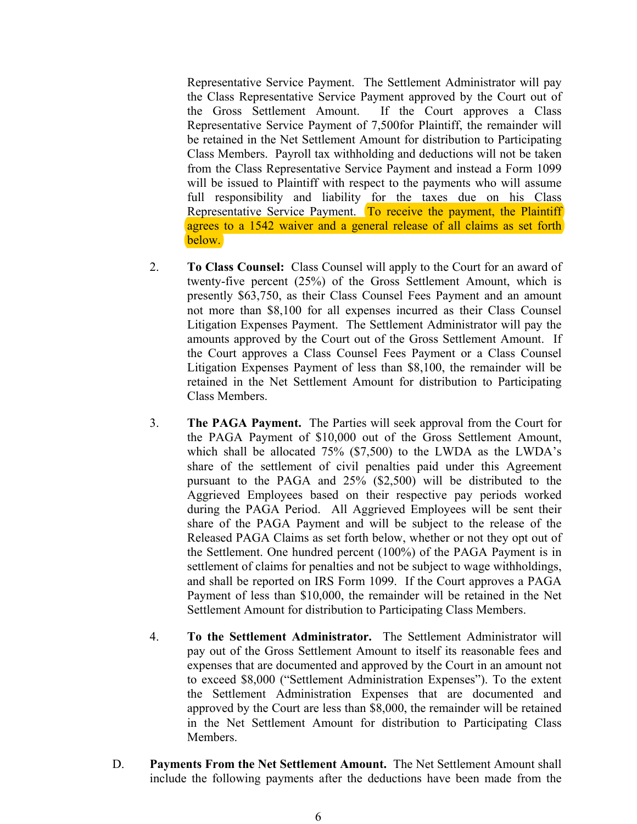Representative Service Payment. The Settlement Administrator will pay the Class Representative Service Payment approved by the Court out of the Gross Settlement Amount. If the Court approves a Class Representative Service Payment of 7,500for Plaintiff, the remainder will be retained in the Net Settlement Amount for distribution to Participating Class Members. Payroll tax withholding and deductions will not be taken from the Class Representative Service Payment and instead a Form 1099 will be issued to Plaintiff with respect to the payments who will assume full responsibility and liability for the taxes due on his Class Representative Service Payment. To receive the payment, the Plaintiff agrees to a 1542 waiver and a general release of all claims as set forth below.

- 2. **To Class Counsel:** Class Counsel will apply to the Court for an award of twenty-five percent (25%) of the Gross Settlement Amount, which is presently \$63,750, as their Class Counsel Fees Payment and an amount not more than \$8,100 for all expenses incurred as their Class Counsel Litigation Expenses Payment. The Settlement Administrator will pay the amounts approved by the Court out of the Gross Settlement Amount. If the Court approves a Class Counsel Fees Payment or a Class Counsel Litigation Expenses Payment of less than \$8,100, the remainder will be retained in the Net Settlement Amount for distribution to Participating Class Members.
- 3. **The PAGA Payment.** The Parties will seek approval from the Court for the PAGA Payment of \$10,000 out of the Gross Settlement Amount, which shall be allocated 75% (\$7,500) to the LWDA as the LWDA's share of the settlement of civil penalties paid under this Agreement pursuant to the PAGA and 25% (\$2,500) will be distributed to the Aggrieved Employees based on their respective pay periods worked during the PAGA Period. All Aggrieved Employees will be sent their share of the PAGA Payment and will be subject to the release of the Released PAGA Claims as set forth below, whether or not they opt out of the Settlement. One hundred percent (100%) of the PAGA Payment is in settlement of claims for penalties and not be subject to wage withholdings, and shall be reported on IRS Form 1099. If the Court approves a PAGA Payment of less than \$10,000, the remainder will be retained in the Net Settlement Amount for distribution to Participating Class Members.
- 4. **To the Settlement Administrator.** The Settlement Administrator will pay out of the Gross Settlement Amount to itself its reasonable fees and expenses that are documented and approved by the Court in an amount not to exceed \$8,000 ("Settlement Administration Expenses"). To the extent the Settlement Administration Expenses that are documented and approved by the Court are less than \$8,000, the remainder will be retained in the Net Settlement Amount for distribution to Participating Class Members.
- D. **Payments From the Net Settlement Amount.** The Net Settlement Amount shall include the following payments after the deductions have been made from the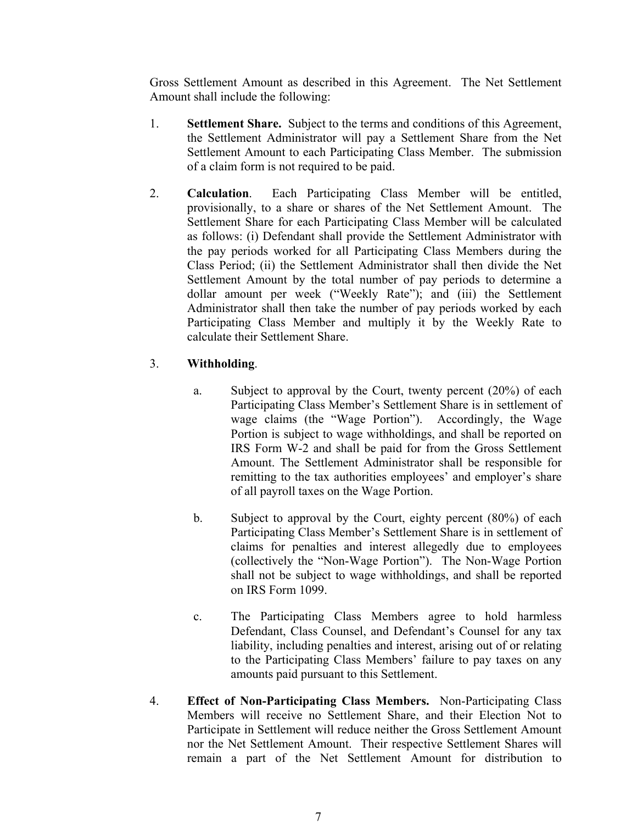Gross Settlement Amount as described in this Agreement. The Net Settlement Amount shall include the following:

- 1. **Settlement Share.** Subject to the terms and conditions of this Agreement, the Settlement Administrator will pay a Settlement Share from the Net Settlement Amount to each Participating Class Member. The submission of a claim form is not required to be paid.
- 2. **Calculation**. Each Participating Class Member will be entitled, provisionally, to a share or shares of the Net Settlement Amount. The Settlement Share for each Participating Class Member will be calculated as follows: (i) Defendant shall provide the Settlement Administrator with the pay periods worked for all Participating Class Members during the Class Period; (ii) the Settlement Administrator shall then divide the Net Settlement Amount by the total number of pay periods to determine a dollar amount per week ("Weekly Rate"); and (iii) the Settlement Administrator shall then take the number of pay periods worked by each Participating Class Member and multiply it by the Weekly Rate to calculate their Settlement Share.

### 3. **Withholding**.

- a. Subject to approval by the Court, twenty percent (20%) of each Participating Class Member's Settlement Share is in settlement of wage claims (the "Wage Portion"). Accordingly, the Wage Portion is subject to wage withholdings, and shall be reported on IRS Form W-2 and shall be paid for from the Gross Settlement Amount. The Settlement Administrator shall be responsible for remitting to the tax authorities employees' and employer's share of all payroll taxes on the Wage Portion.
- b. Subject to approval by the Court, eighty percent (80%) of each Participating Class Member's Settlement Share is in settlement of claims for penalties and interest allegedly due to employees (collectively the "Non-Wage Portion"). The Non-Wage Portion shall not be subject to wage withholdings, and shall be reported on IRS Form 1099.
- c. The Participating Class Members agree to hold harmless Defendant, Class Counsel, and Defendant's Counsel for any tax liability, including penalties and interest, arising out of or relating to the Participating Class Members' failure to pay taxes on any amounts paid pursuant to this Settlement.
- 4. **Effect of Non-Participating Class Members.** Non-Participating Class Members will receive no Settlement Share, and their Election Not to Participate in Settlement will reduce neither the Gross Settlement Amount nor the Net Settlement Amount. Their respective Settlement Shares will remain a part of the Net Settlement Amount for distribution to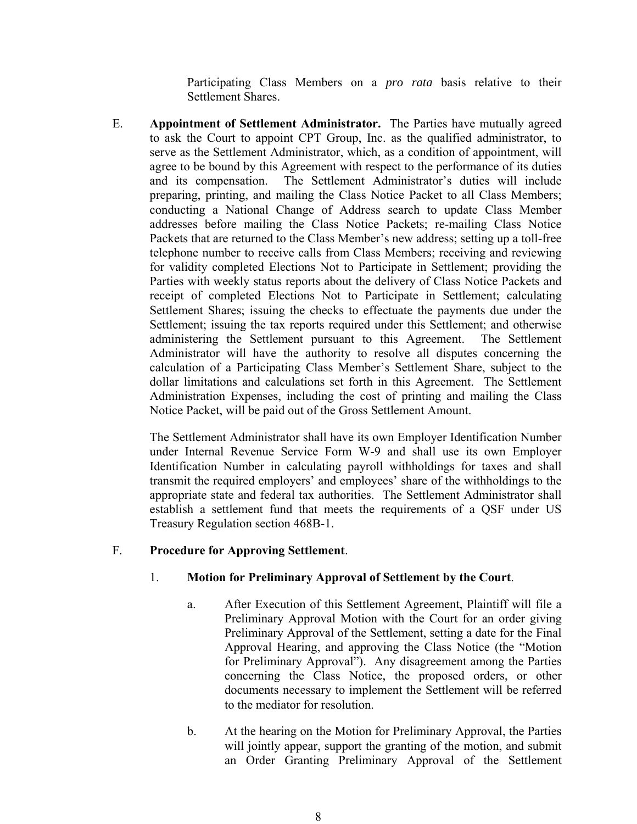Participating Class Members on a *pro rata* basis relative to their Settlement Shares.

E. **Appointment of Settlement Administrator.** The Parties have mutually agreed to ask the Court to appoint CPT Group, Inc. as the qualified administrator, to serve as the Settlement Administrator, which, as a condition of appointment, will agree to be bound by this Agreement with respect to the performance of its duties and its compensation. The Settlement Administrator's duties will include preparing, printing, and mailing the Class Notice Packet to all Class Members; conducting a National Change of Address search to update Class Member addresses before mailing the Class Notice Packets; re-mailing Class Notice Packets that are returned to the Class Member's new address; setting up a toll-free telephone number to receive calls from Class Members; receiving and reviewing for validity completed Elections Not to Participate in Settlement; providing the Parties with weekly status reports about the delivery of Class Notice Packets and receipt of completed Elections Not to Participate in Settlement; calculating Settlement Shares; issuing the checks to effectuate the payments due under the Settlement; issuing the tax reports required under this Settlement; and otherwise administering the Settlement pursuant to this Agreement. The Settlement Administrator will have the authority to resolve all disputes concerning the calculation of a Participating Class Member's Settlement Share, subject to the dollar limitations and calculations set forth in this Agreement. The Settlement Administration Expenses, including the cost of printing and mailing the Class Notice Packet, will be paid out of the Gross Settlement Amount.

The Settlement Administrator shall have its own Employer Identification Number under Internal Revenue Service Form W-9 and shall use its own Employer Identification Number in calculating payroll withholdings for taxes and shall transmit the required employers' and employees' share of the withholdings to the appropriate state and federal tax authorities. The Settlement Administrator shall establish a settlement fund that meets the requirements of a QSF under US Treasury Regulation section 468B-1.

#### F. **Procedure for Approving Settlement**.

### 1. **Motion for Preliminary Approval of Settlement by the Court**.

- a. After Execution of this Settlement Agreement, Plaintiff will file a Preliminary Approval Motion with the Court for an order giving Preliminary Approval of the Settlement, setting a date for the Final Approval Hearing, and approving the Class Notice (the "Motion for Preliminary Approval"). Any disagreement among the Parties concerning the Class Notice, the proposed orders, or other documents necessary to implement the Settlement will be referred to the mediator for resolution.
- b. At the hearing on the Motion for Preliminary Approval, the Parties will jointly appear, support the granting of the motion, and submit an Order Granting Preliminary Approval of the Settlement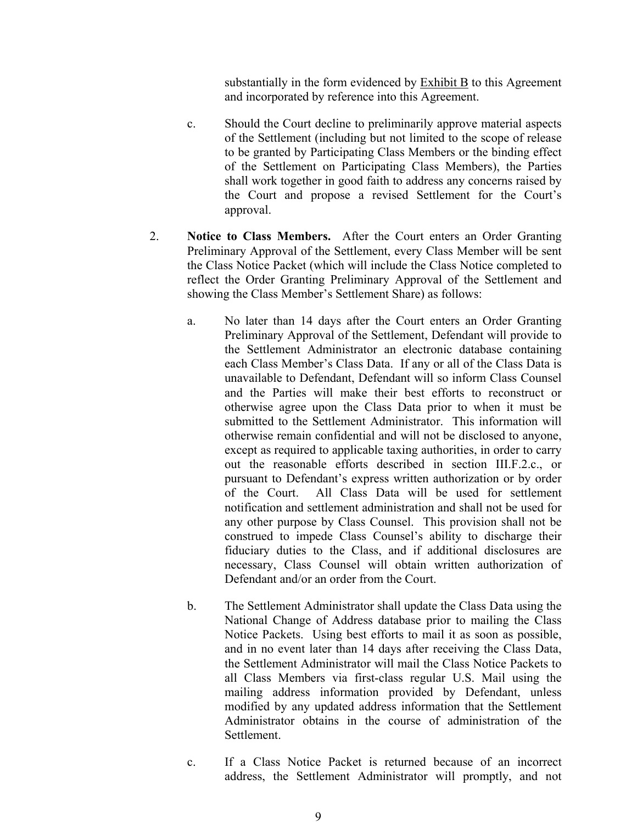substantially in the form evidenced by  $\overline{\text{Exhibit B}}$  to this Agreement and incorporated by reference into this Agreement.

- c. Should the Court decline to preliminarily approve material aspects of the Settlement (including but not limited to the scope of release to be granted by Participating Class Members or the binding effect of the Settlement on Participating Class Members), the Parties shall work together in good faith to address any concerns raised by the Court and propose a revised Settlement for the Court's approval.
- 2. **Notice to Class Members.** After the Court enters an Order Granting Preliminary Approval of the Settlement, every Class Member will be sent the Class Notice Packet (which will include the Class Notice completed to reflect the Order Granting Preliminary Approval of the Settlement and showing the Class Member's Settlement Share) as follows:
	- a. No later than 14 days after the Court enters an Order Granting Preliminary Approval of the Settlement, Defendant will provide to the Settlement Administrator an electronic database containing each Class Member's Class Data. If any or all of the Class Data is unavailable to Defendant, Defendant will so inform Class Counsel and the Parties will make their best efforts to reconstruct or otherwise agree upon the Class Data prior to when it must be submitted to the Settlement Administrator. This information will otherwise remain confidential and will not be disclosed to anyone, except as required to applicable taxing authorities, in order to carry out the reasonable efforts described in section III.F.2.c., or pursuant to Defendant's express written authorization or by order of the Court. All Class Data will be used for settlement notification and settlement administration and shall not be used for any other purpose by Class Counsel. This provision shall not be construed to impede Class Counsel's ability to discharge their fiduciary duties to the Class, and if additional disclosures are necessary, Class Counsel will obtain written authorization of Defendant and/or an order from the Court.
	- b. The Settlement Administrator shall update the Class Data using the National Change of Address database prior to mailing the Class Notice Packets. Using best efforts to mail it as soon as possible, and in no event later than 14 days after receiving the Class Data, the Settlement Administrator will mail the Class Notice Packets to all Class Members via first-class regular U.S. Mail using the mailing address information provided by Defendant, unless modified by any updated address information that the Settlement Administrator obtains in the course of administration of the Settlement.
	- c. If a Class Notice Packet is returned because of an incorrect address, the Settlement Administrator will promptly, and not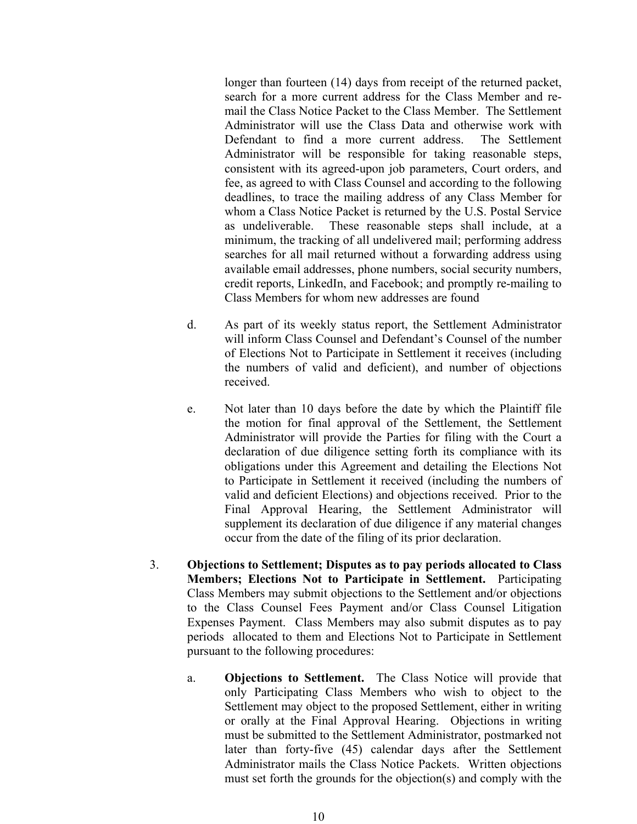longer than fourteen (14) days from receipt of the returned packet, search for a more current address for the Class Member and remail the Class Notice Packet to the Class Member. The Settlement Administrator will use the Class Data and otherwise work with Defendant to find a more current address. The Settlement Administrator will be responsible for taking reasonable steps, consistent with its agreed-upon job parameters, Court orders, and fee, as agreed to with Class Counsel and according to the following deadlines, to trace the mailing address of any Class Member for whom a Class Notice Packet is returned by the U.S. Postal Service as undeliverable. These reasonable steps shall include, at a minimum, the tracking of all undelivered mail; performing address searches for all mail returned without a forwarding address using available email addresses, phone numbers, social security numbers, credit reports, LinkedIn, and Facebook; and promptly re-mailing to Class Members for whom new addresses are found

- d. As part of its weekly status report, the Settlement Administrator will inform Class Counsel and Defendant's Counsel of the number of Elections Not to Participate in Settlement it receives (including the numbers of valid and deficient), and number of objections received.
- e. Not later than 10 days before the date by which the Plaintiff file the motion for final approval of the Settlement, the Settlement Administrator will provide the Parties for filing with the Court a declaration of due diligence setting forth its compliance with its obligations under this Agreement and detailing the Elections Not to Participate in Settlement it received (including the numbers of valid and deficient Elections) and objections received. Prior to the Final Approval Hearing, the Settlement Administrator will supplement its declaration of due diligence if any material changes occur from the date of the filing of its prior declaration.
- 3. **Objections to Settlement; Disputes as to pay periods allocated to Class Members; Elections Not to Participate in Settlement.** Participating Class Members may submit objections to the Settlement and/or objections to the Class Counsel Fees Payment and/or Class Counsel Litigation Expenses Payment. Class Members may also submit disputes as to pay periods allocated to them and Elections Not to Participate in Settlement pursuant to the following procedures:
	- a. **Objections to Settlement.** The Class Notice will provide that only Participating Class Members who wish to object to the Settlement may object to the proposed Settlement, either in writing or orally at the Final Approval Hearing. Objections in writing must be submitted to the Settlement Administrator, postmarked not later than forty-five (45) calendar days after the Settlement Administrator mails the Class Notice Packets. Written objections must set forth the grounds for the objection(s) and comply with the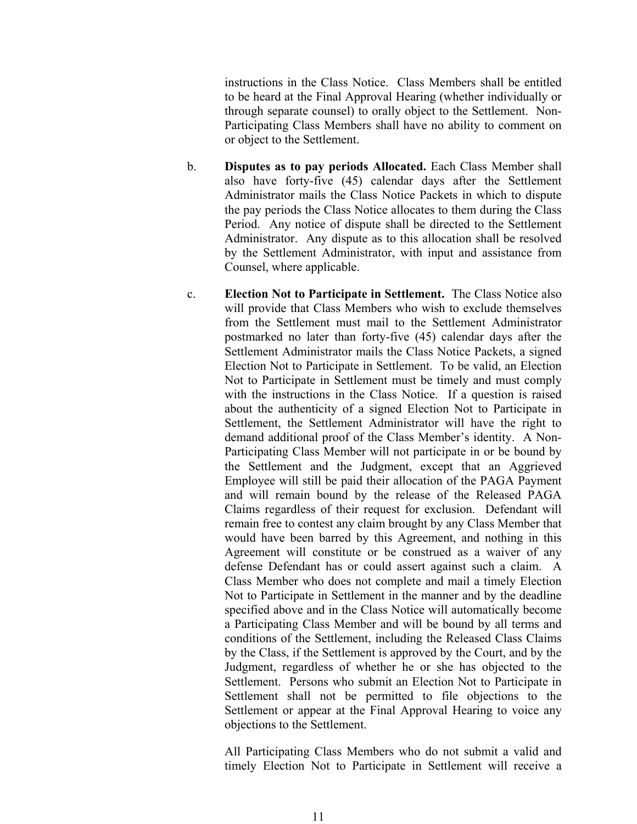instructions in the Class Notice. Class Members shall be entitled to be heard at the Final Approval Hearing (whether individually or through separate counsel) to orally object to the Settlement. Non-Participating Class Members shall have no ability to comment on or object to the Settlement.

- b. **Disputes as to pay periods Allocated.** Each Class Member shall also have forty-five (45) calendar days after the Settlement Administrator mails the Class Notice Packets in which to dispute the pay periods the Class Notice allocates to them during the Class Period. Any notice of dispute shall be directed to the Settlement Administrator. Any dispute as to this allocation shall be resolved by the Settlement Administrator, with input and assistance from Counsel, where applicable.
- c. **Election Not to Participate in Settlement.** The Class Notice also will provide that Class Members who wish to exclude themselves from the Settlement must mail to the Settlement Administrator postmarked no later than forty-five (45) calendar days after the Settlement Administrator mails the Class Notice Packets, a signed Election Not to Participate in Settlement. To be valid, an Election Not to Participate in Settlement must be timely and must comply with the instructions in the Class Notice. If a question is raised about the authenticity of a signed Election Not to Participate in Settlement, the Settlement Administrator will have the right to demand additional proof of the Class Member's identity. A Non-Participating Class Member will not participate in or be bound by the Settlement and the Judgment, except that an Aggrieved Employee will still be paid their allocation of the PAGA Payment and will remain bound by the release of the Released PAGA Claims regardless of their request for exclusion. Defendant will remain free to contest any claim brought by any Class Member that would have been barred by this Agreement, and nothing in this Agreement will constitute or be construed as a waiver of any defense Defendant has or could assert against such a claim. A Class Member who does not complete and mail a timely Election Not to Participate in Settlement in the manner and by the deadline specified above and in the Class Notice will automatically become a Participating Class Member and will be bound by all terms and conditions of the Settlement, including the Released Class Claims by the Class, if the Settlement is approved by the Court, and by the Judgment, regardless of whether he or she has objected to the Settlement. Persons who submit an Election Not to Participate in Settlement shall not be permitted to file objections to the Settlement or appear at the Final Approval Hearing to voice any objections to the Settlement.

All Participating Class Members who do not submit a valid and timely Election Not to Participate in Settlement will receive a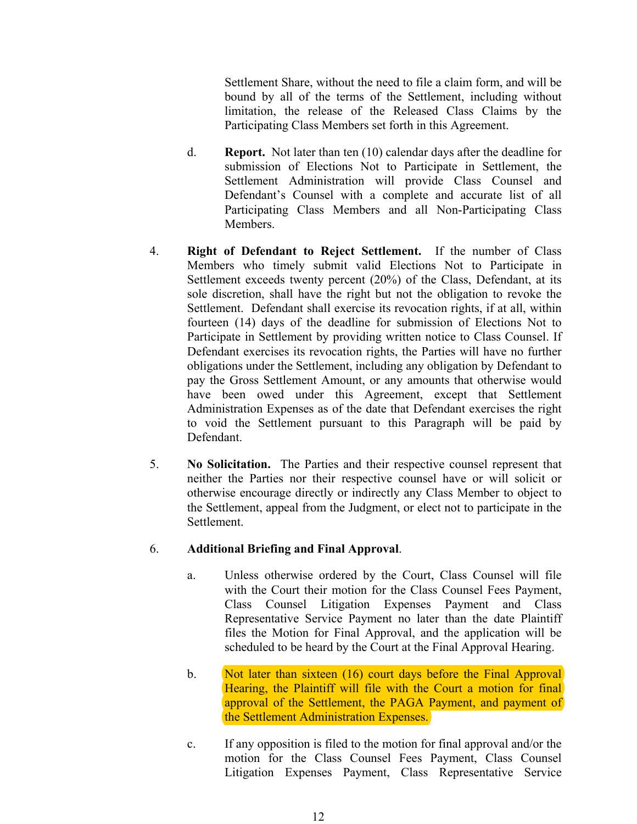Settlement Share, without the need to file a claim form, and will be bound by all of the terms of the Settlement, including without limitation, the release of the Released Class Claims by the Participating Class Members set forth in this Agreement.

- d. **Report.** Not later than ten (10) calendar days after the deadline for submission of Elections Not to Participate in Settlement, the Settlement Administration will provide Class Counsel and Defendant's Counsel with a complete and accurate list of all Participating Class Members and all Non-Participating Class Members.
- 4. **Right of Defendant to Reject Settlement.** If the number of Class Members who timely submit valid Elections Not to Participate in Settlement exceeds twenty percent (20%) of the Class, Defendant, at its sole discretion, shall have the right but not the obligation to revoke the Settlement. Defendant shall exercise its revocation rights, if at all, within fourteen (14) days of the deadline for submission of Elections Not to Participate in Settlement by providing written notice to Class Counsel. If Defendant exercises its revocation rights, the Parties will have no further obligations under the Settlement, including any obligation by Defendant to pay the Gross Settlement Amount, or any amounts that otherwise would have been owed under this Agreement, except that Settlement Administration Expenses as of the date that Defendant exercises the right to void the Settlement pursuant to this Paragraph will be paid by Defendant.
- 5. **No Solicitation.** The Parties and their respective counsel represent that neither the Parties nor their respective counsel have or will solicit or otherwise encourage directly or indirectly any Class Member to object to the Settlement, appeal from the Judgment, or elect not to participate in the Settlement.

### 6. **Additional Briefing and Final Approval**.

- a. Unless otherwise ordered by the Court, Class Counsel will file with the Court their motion for the Class Counsel Fees Payment, Class Counsel Litigation Expenses Payment and Class Representative Service Payment no later than the date Plaintiff files the Motion for Final Approval, and the application will be scheduled to be heard by the Court at the Final Approval Hearing.
- b. Not later than sixteen (16) court days before the Final Approval Hearing, the Plaintiff will file with the Court a motion for final approval of the Settlement, the PAGA Payment, and payment of the Settlement Administration Expenses.
- c. If any opposition is filed to the motion for final approval and/or the motion for the Class Counsel Fees Payment, Class Counsel Litigation Expenses Payment, Class Representative Service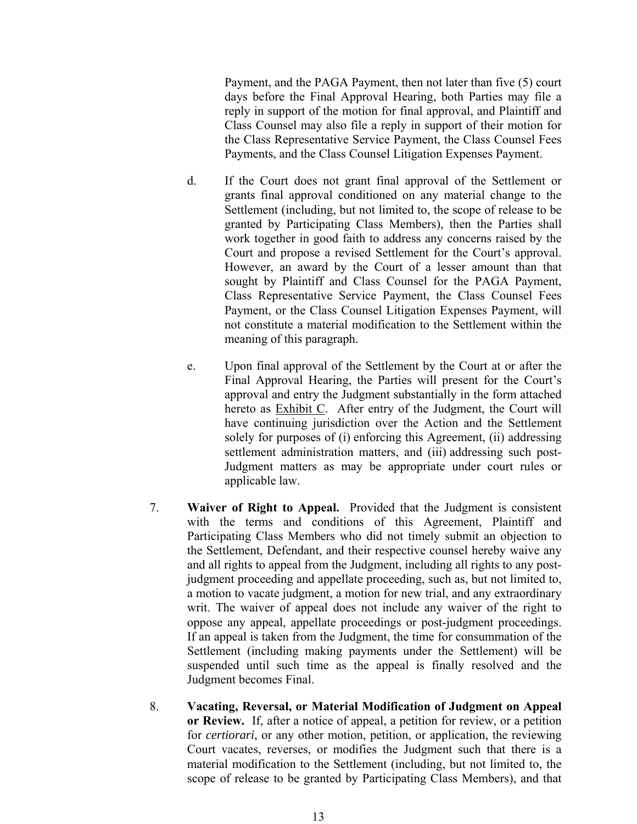Payment, and the PAGA Payment, then not later than five (5) court days before the Final Approval Hearing, both Parties may file a reply in support of the motion for final approval, and Plaintiff and Class Counsel may also file a reply in support of their motion for the Class Representative Service Payment, the Class Counsel Fees Payments, and the Class Counsel Litigation Expenses Payment.

- d. If the Court does not grant final approval of the Settlement or grants final approval conditioned on any material change to the Settlement (including, but not limited to, the scope of release to be granted by Participating Class Members), then the Parties shall work together in good faith to address any concerns raised by the Court and propose a revised Settlement for the Court's approval. However, an award by the Court of a lesser amount than that sought by Plaintiff and Class Counsel for the PAGA Payment, Class Representative Service Payment, the Class Counsel Fees Payment, or the Class Counsel Litigation Expenses Payment, will not constitute a material modification to the Settlement within the meaning of this paragraph.
- e. Upon final approval of the Settlement by the Court at or after the Final Approval Hearing, the Parties will present for the Court's approval and entry the Judgment substantially in the form attached hereto as Exhibit C. After entry of the Judgment, the Court will have continuing jurisdiction over the Action and the Settlement solely for purposes of (i) enforcing this Agreement, (ii) addressing settlement administration matters, and (iii) addressing such post-Judgment matters as may be appropriate under court rules or applicable law.
- 7. **Waiver of Right to Appeal.** Provided that the Judgment is consistent with the terms and conditions of this Agreement, Plaintiff and Participating Class Members who did not timely submit an objection to the Settlement, Defendant, and their respective counsel hereby waive any and all rights to appeal from the Judgment, including all rights to any postjudgment proceeding and appellate proceeding, such as, but not limited to, a motion to vacate judgment, a motion for new trial, and any extraordinary writ. The waiver of appeal does not include any waiver of the right to oppose any appeal, appellate proceedings or post-judgment proceedings. If an appeal is taken from the Judgment, the time for consummation of the Settlement (including making payments under the Settlement) will be suspended until such time as the appeal is finally resolved and the Judgment becomes Final.
- 8. **Vacating, Reversal, or Material Modification of Judgment on Appeal or Review.** If, after a notice of appeal, a petition for review, or a petition for *certiorari*, or any other motion, petition, or application, the reviewing Court vacates, reverses, or modifies the Judgment such that there is a material modification to the Settlement (including, but not limited to, the scope of release to be granted by Participating Class Members), and that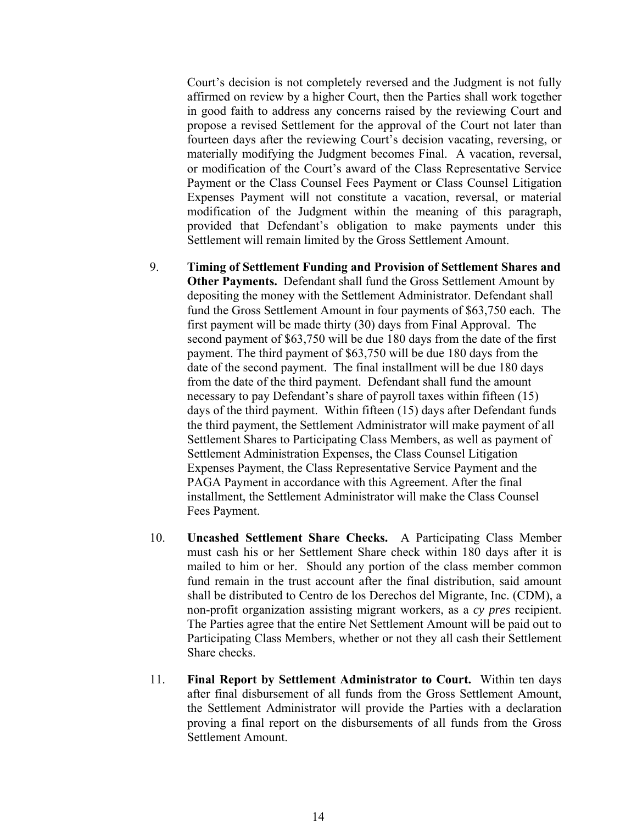Court's decision is not completely reversed and the Judgment is not fully affirmed on review by a higher Court, then the Parties shall work together in good faith to address any concerns raised by the reviewing Court and propose a revised Settlement for the approval of the Court not later than fourteen days after the reviewing Court's decision vacating, reversing, or materially modifying the Judgment becomes Final. A vacation, reversal, or modification of the Court's award of the Class Representative Service Payment or the Class Counsel Fees Payment or Class Counsel Litigation Expenses Payment will not constitute a vacation, reversal, or material modification of the Judgment within the meaning of this paragraph, provided that Defendant's obligation to make payments under this Settlement will remain limited by the Gross Settlement Amount.

- 9. **Timing of Settlement Funding and Provision of Settlement Shares and Other Payments.** Defendant shall fund the Gross Settlement Amount by depositing the money with the Settlement Administrator. Defendant shall fund the Gross Settlement Amount in four payments of \$63,750 each. The first payment will be made thirty (30) days from Final Approval. The second payment of \$63,750 will be due 180 days from the date of the first payment. The third payment of \$63,750 will be due 180 days from the date of the second payment. The final installment will be due 180 days from the date of the third payment. Defendant shall fund the amount necessary to pay Defendant's share of payroll taxes within fifteen (15) days of the third payment. Within fifteen (15) days after Defendant funds the third payment, the Settlement Administrator will make payment of all Settlement Shares to Participating Class Members, as well as payment of Settlement Administration Expenses, the Class Counsel Litigation Expenses Payment, the Class Representative Service Payment and the PAGA Payment in accordance with this Agreement. After the final installment, the Settlement Administrator will make the Class Counsel Fees Payment.
- 10. **Uncashed Settlement Share Checks.** A Participating Class Member must cash his or her Settlement Share check within 180 days after it is mailed to him or her. Should any portion of the class member common fund remain in the trust account after the final distribution, said amount shall be distributed to Centro de los Derechos del Migrante, Inc. (CDM), a non-profit organization assisting migrant workers, as a *cy pres* recipient. The Parties agree that the entire Net Settlement Amount will be paid out to Participating Class Members, whether or not they all cash their Settlement Share checks.
- 11. **Final Report by Settlement Administrator to Court.** Within ten days after final disbursement of all funds from the Gross Settlement Amount, the Settlement Administrator will provide the Parties with a declaration proving a final report on the disbursements of all funds from the Gross Settlement Amount.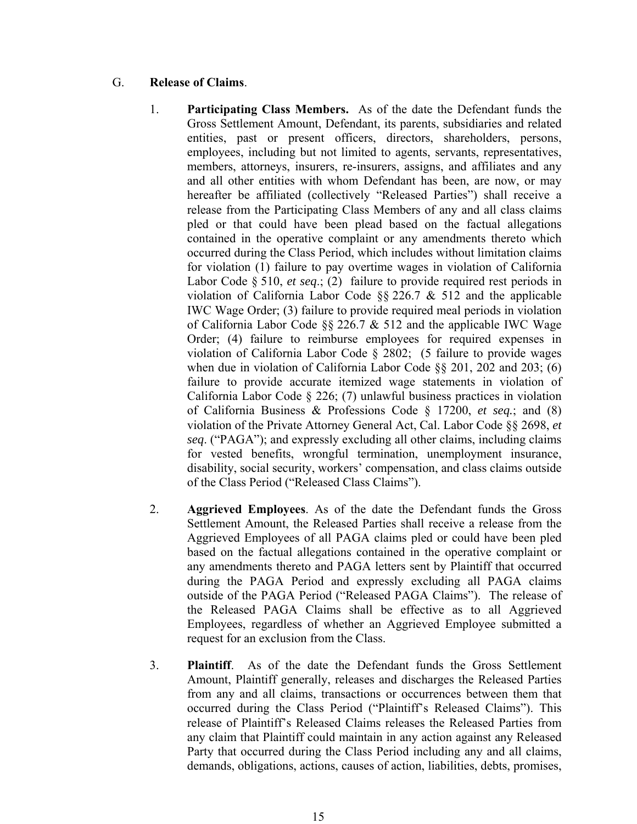### G. **Release of Claims**.

- 1. **Participating Class Members.** As of the date the Defendant funds the Gross Settlement Amount, Defendant, its parents, subsidiaries and related entities, past or present officers, directors, shareholders, persons, employees, including but not limited to agents, servants, representatives, members, attorneys, insurers, re-insurers, assigns, and affiliates and any and all other entities with whom Defendant has been, are now, or may hereafter be affiliated (collectively "Released Parties") shall receive a release from the Participating Class Members of any and all class claims pled or that could have been plead based on the factual allegations contained in the operative complaint or any amendments thereto which occurred during the Class Period, which includes without limitation claims for violation (1) failure to pay overtime wages in violation of California Labor Code § 510, *et seq*.; (2) failure to provide required rest periods in violation of California Labor Code §§ 226.7 & 512 and the applicable IWC Wage Order; (3) failure to provide required meal periods in violation of California Labor Code §§ 226.7 & 512 and the applicable IWC Wage Order; (4) failure to reimburse employees for required expenses in violation of California Labor Code § 2802; (5 failure to provide wages when due in violation of California Labor Code §§ 201, 202 and 203; (6) failure to provide accurate itemized wage statements in violation of California Labor Code § 226; (7) unlawful business practices in violation of California Business & Professions Code § 17200, *et seq.*; and (8) violation of the Private Attorney General Act, Cal. Labor Code §§ 2698, *et seq*. ("PAGA"); and expressly excluding all other claims, including claims for vested benefits, wrongful termination, unemployment insurance, disability, social security, workers' compensation, and class claims outside of the Class Period ("Released Class Claims").
- 2. **Aggrieved Employees**. As of the date the Defendant funds the Gross Settlement Amount, the Released Parties shall receive a release from the Aggrieved Employees of all PAGA claims pled or could have been pled based on the factual allegations contained in the operative complaint or any amendments thereto and PAGA letters sent by Plaintiff that occurred during the PAGA Period and expressly excluding all PAGA claims outside of the PAGA Period ("Released PAGA Claims"). The release of the Released PAGA Claims shall be effective as to all Aggrieved Employees, regardless of whether an Aggrieved Employee submitted a request for an exclusion from the Class.
- 3. **Plaintiff**. As of the date the Defendant funds the Gross Settlement Amount, Plaintiff generally, releases and discharges the Released Parties from any and all claims, transactions or occurrences between them that occurred during the Class Period ("Plaintiff's Released Claims"). This release of Plaintiff's Released Claims releases the Released Parties from any claim that Plaintiff could maintain in any action against any Released Party that occurred during the Class Period including any and all claims, demands, obligations, actions, causes of action, liabilities, debts, promises,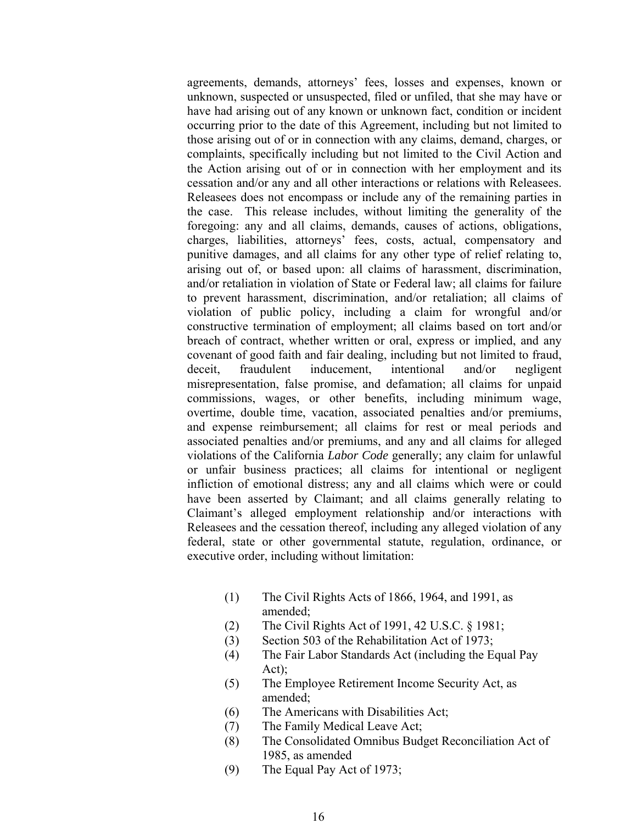agreements, demands, attorneys' fees, losses and expenses, known or unknown, suspected or unsuspected, filed or unfiled, that she may have or have had arising out of any known or unknown fact, condition or incident occurring prior to the date of this Agreement, including but not limited to those arising out of or in connection with any claims, demand, charges, or complaints, specifically including but not limited to the Civil Action and the Action arising out of or in connection with her employment and its cessation and/or any and all other interactions or relations with Releasees. Releasees does not encompass or include any of the remaining parties in the case. This release includes, without limiting the generality of the foregoing: any and all claims, demands, causes of actions, obligations, charges, liabilities, attorneys' fees, costs, actual, compensatory and punitive damages, and all claims for any other type of relief relating to, arising out of, or based upon: all claims of harassment, discrimination, and/or retaliation in violation of State or Federal law; all claims for failure to prevent harassment, discrimination, and/or retaliation; all claims of violation of public policy, including a claim for wrongful and/or constructive termination of employment; all claims based on tort and/or breach of contract, whether written or oral, express or implied, and any covenant of good faith and fair dealing, including but not limited to fraud, deceit, fraudulent inducement, intentional and/or negligent misrepresentation, false promise, and defamation; all claims for unpaid commissions, wages, or other benefits, including minimum wage, overtime, double time, vacation, associated penalties and/or premiums, and expense reimbursement; all claims for rest or meal periods and associated penalties and/or premiums, and any and all claims for alleged violations of the California *Labor Code* generally; any claim for unlawful or unfair business practices; all claims for intentional or negligent infliction of emotional distress; any and all claims which were or could have been asserted by Claimant; and all claims generally relating to Claimant's alleged employment relationship and/or interactions with Releasees and the cessation thereof, including any alleged violation of any federal, state or other governmental statute, regulation, ordinance, or executive order, including without limitation:

- (1) The Civil Rights Acts of 1866, 1964, and 1991, as amended;
- (2) The Civil Rights Act of 1991, 42 U.S.C. § 1981;
- (3) Section 503 of the Rehabilitation Act of 1973;
- (4) The Fair Labor Standards Act (including the Equal Pay Act);
- (5) The Employee Retirement Income Security Act, as amended;
- (6) The Americans with Disabilities Act;
- (7) The Family Medical Leave Act;
- (8) The Consolidated Omnibus Budget Reconciliation Act of 1985, as amended
- (9) The Equal Pay Act of 1973;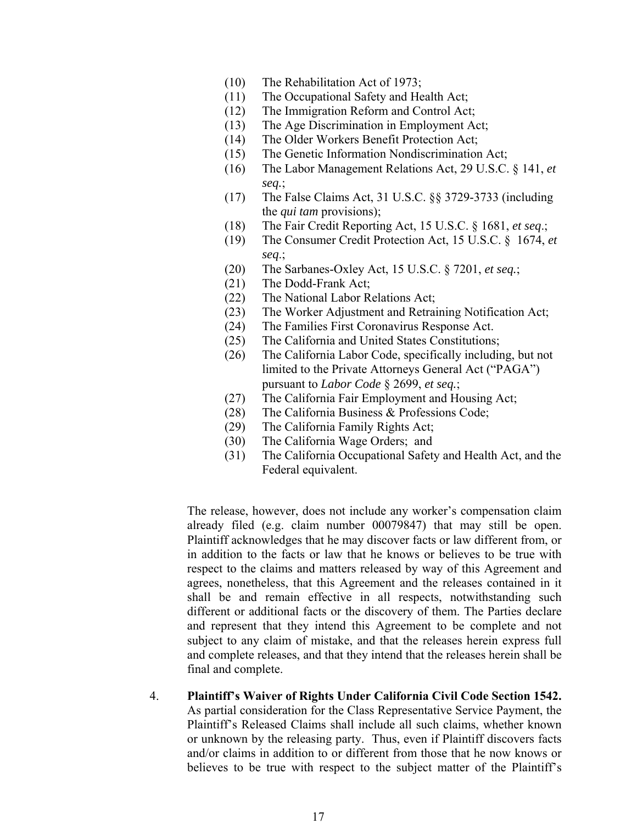- (10) The Rehabilitation Act of 1973;
- (11) The Occupational Safety and Health Act;
- (12) The Immigration Reform and Control Act;
- (13) The Age Discrimination in Employment Act;
- (14) The Older Workers Benefit Protection Act;
- (15) The Genetic Information Nondiscrimination Act;
- (16) The Labor Management Relations Act, 29 U.S.C. § 141, *et seq.*;
- (17) The False Claims Act, 31 U.S.C. §§ 3729-3733 (including the *qui tam* provisions);
- (18) The Fair Credit Reporting Act, 15 U.S.C. § 1681, *et seq*.;
- (19) The Consumer Credit Protection Act, 15 U.S.C. § 1674, *et seq*.;
- (20) The Sarbanes-Oxley Act, 15 U.S.C. § 7201, *et seq.*;
- (21) The Dodd-Frank Act;
- (22) The National Labor Relations Act;
- (23) The Worker Adjustment and Retraining Notification Act;
- (24) The Families First Coronavirus Response Act.
- (25) The California and United States Constitutions;
- (26) The California Labor Code, specifically including, but not limited to the Private Attorneys General Act ("PAGA") pursuant to *Labor Code* § 2699, *et seq.*;
- (27) The California Fair Employment and Housing Act;
- (28) The California Business & Professions Code;
- (29) The California Family Rights Act;
- (30) The California Wage Orders; and
- (31) The California Occupational Safety and Health Act, and the Federal equivalent.

The release, however, does not include any worker's compensation claim already filed (e.g. claim number 00079847) that may still be open. Plaintiff acknowledges that he may discover facts or law different from, or in addition to the facts or law that he knows or believes to be true with respect to the claims and matters released by way of this Agreement and agrees, nonetheless, that this Agreement and the releases contained in it shall be and remain effective in all respects, notwithstanding such different or additional facts or the discovery of them. The Parties declare and represent that they intend this Agreement to be complete and not subject to any claim of mistake, and that the releases herein express full and complete releases, and that they intend that the releases herein shall be final and complete.

4. **Plaintiff's Waiver of Rights Under California Civil Code Section 1542.**  As partial consideration for the Class Representative Service Payment, the Plaintiff's Released Claims shall include all such claims, whether known or unknown by the releasing party. Thus, even if Plaintiff discovers facts and/or claims in addition to or different from those that he now knows or believes to be true with respect to the subject matter of the Plaintiff's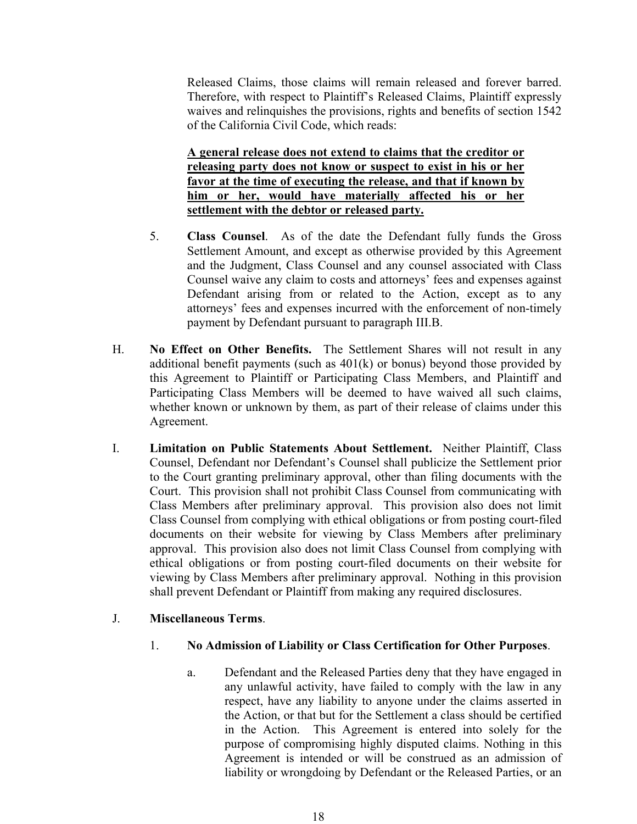Released Claims, those claims will remain released and forever barred. Therefore, with respect to Plaintiff's Released Claims, Plaintiff expressly waives and relinquishes the provisions, rights and benefits of section 1542 of the California Civil Code, which reads:

**A general release does not extend to claims that the creditor or releasing party does not know or suspect to exist in his or her favor at the time of executing the release, and that if known by him or her, would have materially affected his or her settlement with the debtor or released party.**

- 5. **Class Counsel**. As of the date the Defendant fully funds the Gross Settlement Amount, and except as otherwise provided by this Agreement and the Judgment, Class Counsel and any counsel associated with Class Counsel waive any claim to costs and attorneys' fees and expenses against Defendant arising from or related to the Action, except as to any attorneys' fees and expenses incurred with the enforcement of non-timely payment by Defendant pursuant to paragraph III.B.
- H. **No Effect on Other Benefits.** The Settlement Shares will not result in any additional benefit payments (such as  $401(k)$  or bonus) beyond those provided by this Agreement to Plaintiff or Participating Class Members, and Plaintiff and Participating Class Members will be deemed to have waived all such claims, whether known or unknown by them, as part of their release of claims under this Agreement.
- I. **Limitation on Public Statements About Settlement.** Neither Plaintiff, Class Counsel, Defendant nor Defendant's Counsel shall publicize the Settlement prior to the Court granting preliminary approval, other than filing documents with the Court. This provision shall not prohibit Class Counsel from communicating with Class Members after preliminary approval. This provision also does not limit Class Counsel from complying with ethical obligations or from posting court-filed documents on their website for viewing by Class Members after preliminary approval. This provision also does not limit Class Counsel from complying with ethical obligations or from posting court-filed documents on their website for viewing by Class Members after preliminary approval. Nothing in this provision shall prevent Defendant or Plaintiff from making any required disclosures.

#### J. **Miscellaneous Terms**.

#### 1. **No Admission of Liability or Class Certification for Other Purposes**.

a. Defendant and the Released Parties deny that they have engaged in any unlawful activity, have failed to comply with the law in any respect, have any liability to anyone under the claims asserted in the Action, or that but for the Settlement a class should be certified in the Action. This Agreement is entered into solely for the purpose of compromising highly disputed claims. Nothing in this Agreement is intended or will be construed as an admission of liability or wrongdoing by Defendant or the Released Parties, or an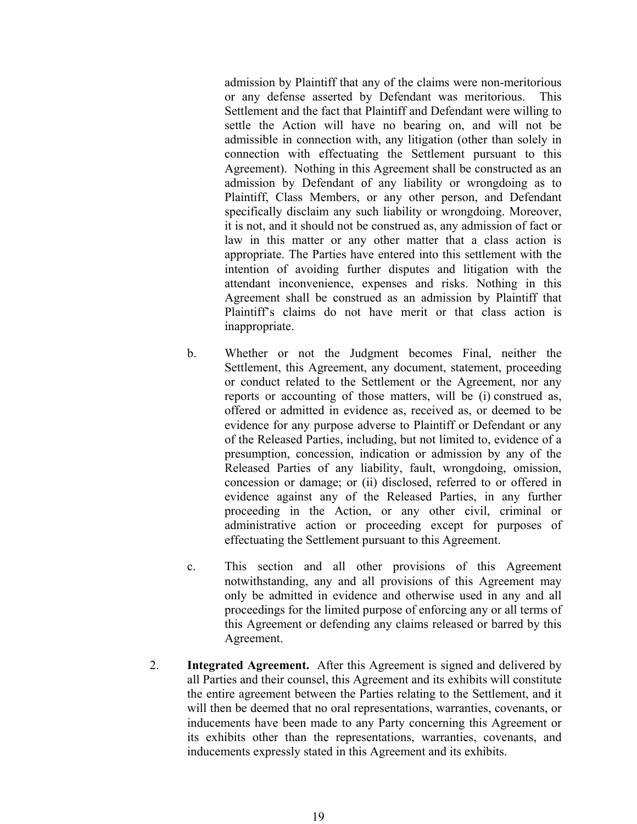admission by Plaintiff that any of the claims were non-meritorious or any defense asserted by Defendant was meritorious. This Settlement and the fact that Plaintiff and Defendant were willing to settle the Action will have no bearing on, and will not be admissible in connection with, any litigation (other than solely in connection with effectuating the Settlement pursuant to this Agreement). Nothing in this Agreement shall be constructed as an admission by Defendant of any liability or wrongdoing as to Plaintiff, Class Members, or any other person, and Defendant specifically disclaim any such liability or wrongdoing. Moreover, it is not, and it should not be construed as, any admission of fact or law in this matter or any other matter that a class action is appropriate. The Parties have entered into this settlement with the intention of avoiding further disputes and litigation with the attendant inconvenience, expenses and risks. Nothing in this Agreement shall be construed as an admission by Plaintiff that Plaintiff's claims do not have merit or that class action is inappropriate.

- b. Whether or not the Judgment becomes Final, neither the Settlement, this Agreement, any document, statement, proceeding or conduct related to the Settlement or the Agreement, nor any reports or accounting of those matters, will be (i) construed as, offered or admitted in evidence as, received as, or deemed to be evidence for any purpose adverse to Plaintiff or Defendant or any of the Released Parties, including, but not limited to, evidence of a presumption, concession, indication or admission by any of the Released Parties of any liability, fault, wrongdoing, omission, concession or damage; or (ii) disclosed, referred to or offered in evidence against any of the Released Parties, in any further proceeding in the Action, or any other civil, criminal or administrative action or proceeding except for purposes of effectuating the Settlement pursuant to this Agreement.
- c. This section and all other provisions of this Agreement notwithstanding, any and all provisions of this Agreement may only be admitted in evidence and otherwise used in any and all proceedings for the limited purpose of enforcing any or all terms of this Agreement or defending any claims released or barred by this Agreement.
- 2. **Integrated Agreement.** After this Agreement is signed and delivered by all Parties and their counsel, this Agreement and its exhibits will constitute the entire agreement between the Parties relating to the Settlement, and it will then be deemed that no oral representations, warranties, covenants, or inducements have been made to any Party concerning this Agreement or its exhibits other than the representations, warranties, covenants, and inducements expressly stated in this Agreement and its exhibits.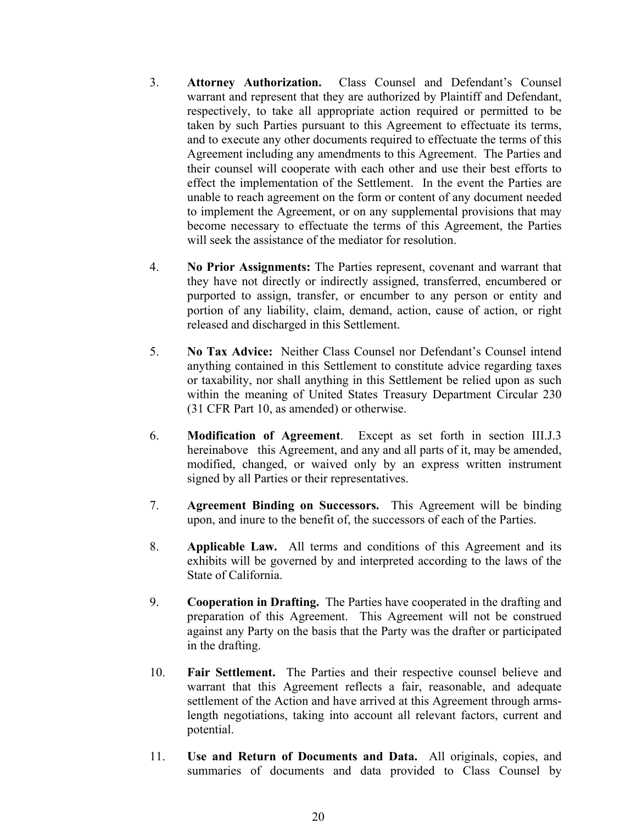- 3. **Attorney Authorization.** Class Counsel and Defendant's Counsel warrant and represent that they are authorized by Plaintiff and Defendant, respectively, to take all appropriate action required or permitted to be taken by such Parties pursuant to this Agreement to effectuate its terms, and to execute any other documents required to effectuate the terms of this Agreement including any amendments to this Agreement. The Parties and their counsel will cooperate with each other and use their best efforts to effect the implementation of the Settlement. In the event the Parties are unable to reach agreement on the form or content of any document needed to implement the Agreement, or on any supplemental provisions that may become necessary to effectuate the terms of this Agreement, the Parties will seek the assistance of the mediator for resolution.
- 4. **No Prior Assignments:** The Parties represent, covenant and warrant that they have not directly or indirectly assigned, transferred, encumbered or purported to assign, transfer, or encumber to any person or entity and portion of any liability, claim, demand, action, cause of action, or right released and discharged in this Settlement.
- 5. **No Tax Advice:** Neither Class Counsel nor Defendant's Counsel intend anything contained in this Settlement to constitute advice regarding taxes or taxability, nor shall anything in this Settlement be relied upon as such within the meaning of United States Treasury Department Circular 230 (31 CFR Part 10, as amended) or otherwise.
- 6. **Modification of Agreement**. Except as set forth in section III.J.3 hereinabovethis Agreement, and any and all parts of it, may be amended, modified, changed, or waived only by an express written instrument signed by all Parties or their representatives.
- 7. **Agreement Binding on Successors.** This Agreement will be binding upon, and inure to the benefit of, the successors of each of the Parties.
- 8. **Applicable Law.** All terms and conditions of this Agreement and its exhibits will be governed by and interpreted according to the laws of the State of California.
- 9. **Cooperation in Drafting.** The Parties have cooperated in the drafting and preparation of this Agreement. This Agreement will not be construed against any Party on the basis that the Party was the drafter or participated in the drafting.
- 10. **Fair Settlement.** The Parties and their respective counsel believe and warrant that this Agreement reflects a fair, reasonable, and adequate settlement of the Action and have arrived at this Agreement through armslength negotiations, taking into account all relevant factors, current and potential.
- 11. **Use and Return of Documents and Data.** All originals, copies, and summaries of documents and data provided to Class Counsel by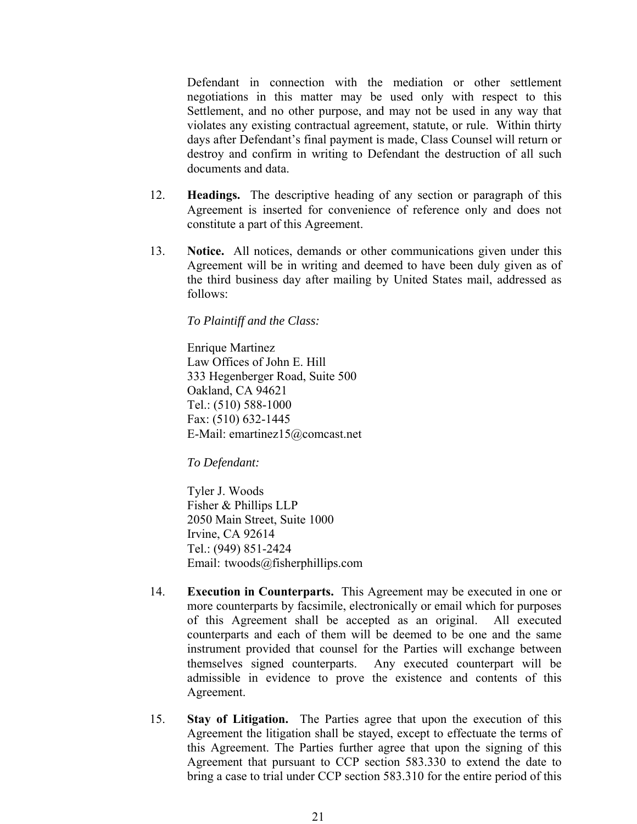Defendant in connection with the mediation or other settlement negotiations in this matter may be used only with respect to this Settlement, and no other purpose, and may not be used in any way that violates any existing contractual agreement, statute, or rule. Within thirty days after Defendant's final payment is made, Class Counsel will return or destroy and confirm in writing to Defendant the destruction of all such documents and data.

- 12. **Headings.** The descriptive heading of any section or paragraph of this Agreement is inserted for convenience of reference only and does not constitute a part of this Agreement.
- 13. **Notice.** All notices, demands or other communications given under this Agreement will be in writing and deemed to have been duly given as of the third business day after mailing by United States mail, addressed as follows:

*To Plaintiff and the Class:*

Enrique Martinez Law Offices of John E. Hill 333 Hegenberger Road, Suite 500 Oakland, CA 94621 Tel.: (510) 588-1000 Fax: (510) 632-1445 E-Mail: emartinez15@comcast.net

*To Defendant:* 

Tyler J. Woods Fisher & Phillips LLP 2050 Main Street, Suite 1000 Irvine, CA 92614 Tel.: (949) 851-2424 Email: twoods@fisherphillips.com

- 14. **Execution in Counterparts.** This Agreement may be executed in one or more counterparts by facsimile, electronically or email which for purposes of this Agreement shall be accepted as an original. All executed counterparts and each of them will be deemed to be one and the same instrument provided that counsel for the Parties will exchange between themselves signed counterparts. Any executed counterpart will be admissible in evidence to prove the existence and contents of this Agreement.
- 15. **Stay of Litigation.** The Parties agree that upon the execution of this Agreement the litigation shall be stayed, except to effectuate the terms of this Agreement. The Parties further agree that upon the signing of this Agreement that pursuant to CCP section 583.330 to extend the date to bring a case to trial under CCP section 583.310 for the entire period of this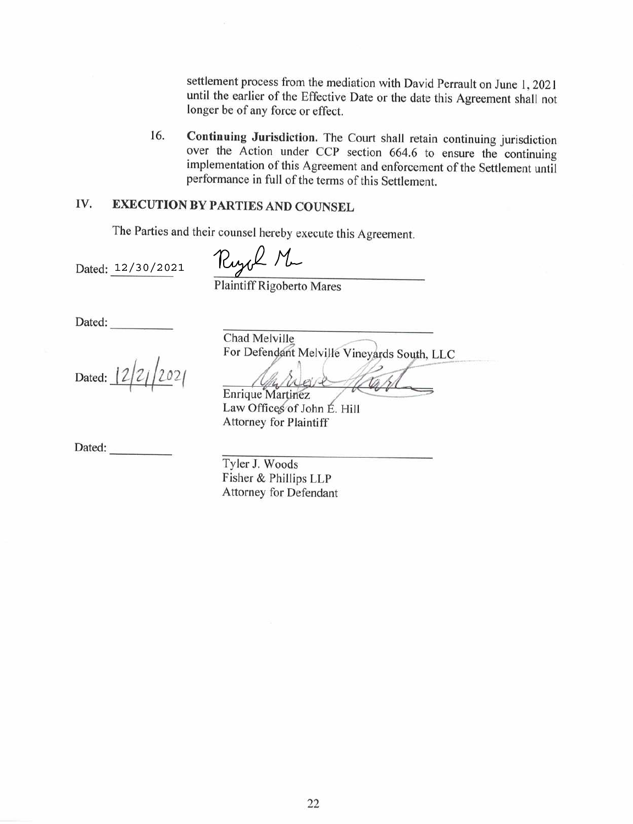settlement process from the mediation with David Perrault on June 1, 2021 until the earlier of the Effective Date or the date this Agreement shall not longer be of any force or effect.

Continuing Jurisdiction. The Court shall retain continuing jurisdiction 16. over the Action under CCP section 664.6 to ensure the continuing implementation of this Agreement and enforcement of the Settlement until performance in full of the terms of this Settlement.

#### IV. **EXECUTION BY PARTIES AND COUNSEL**

The Parties and their counsel hereby execute this Agreement.

Dated: 12/30/2021

Ryck Mu

Plaintiff Rigoberto Mares

Dated:

Dated:

Chad Melville For Defendant Melville Vineyards South, LLC

Enrique Martinez

Law Offices of John E. Hill **Attorney for Plaintiff** 

Dated:

Tyler J. Woods Fisher & Phillips LLP Attorney for Defendant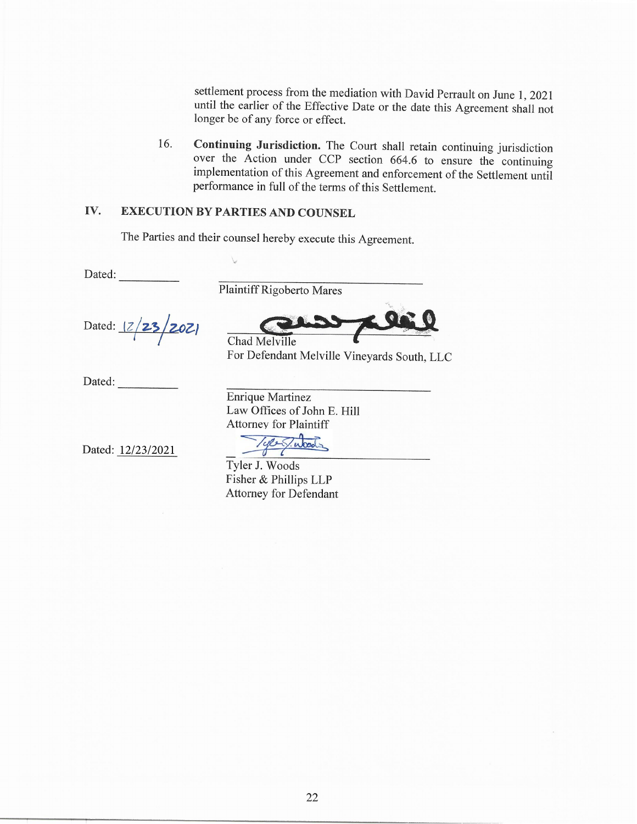settlement process from the mediation with David Perrault on June 1, 2021 until the earlier of the Effective Date or the date this Agreement shall not longer be of any force or effect.

Continuing Jurisdiction. The Court shall retain continuing jurisdiction 16. over the Action under CCP section 664.6 to ensure the continuing implementation of this Agreement and enforcement of the Settlement until performance in full of the terms of this Settlement.

#### IV. **EXECUTION BY PARTIES AND COUNSEL**

The Parties and their counsel hereby execute this Agreement.

Dated:

Plaintiff Rigoberto Mares

Dated: 12/23/2021

Chad Melville

For Defendant Melville Vineyards South, LLC

Dated:

**Enrique Martinez** Law Offices of John E. Hill **Attorney for Plaintiff** 

Dated: 12/23/2021

Tyler J. Woods Fisher & Phillips LLP **Attorney for Defendant**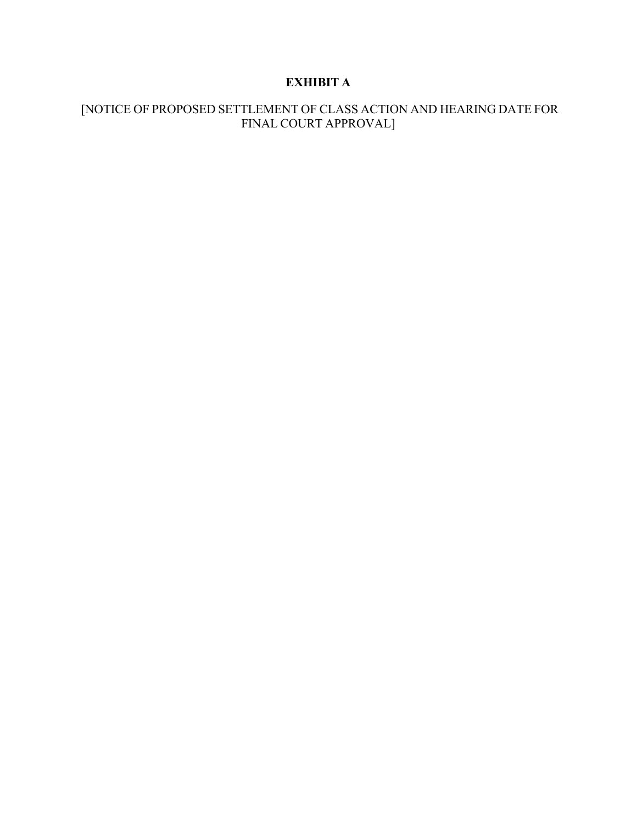# **EXHIBIT A**

# [NOTICE OF PROPOSED SETTLEMENT OF CLASS ACTION AND HEARING DATE FOR FINAL COURT APPROVAL]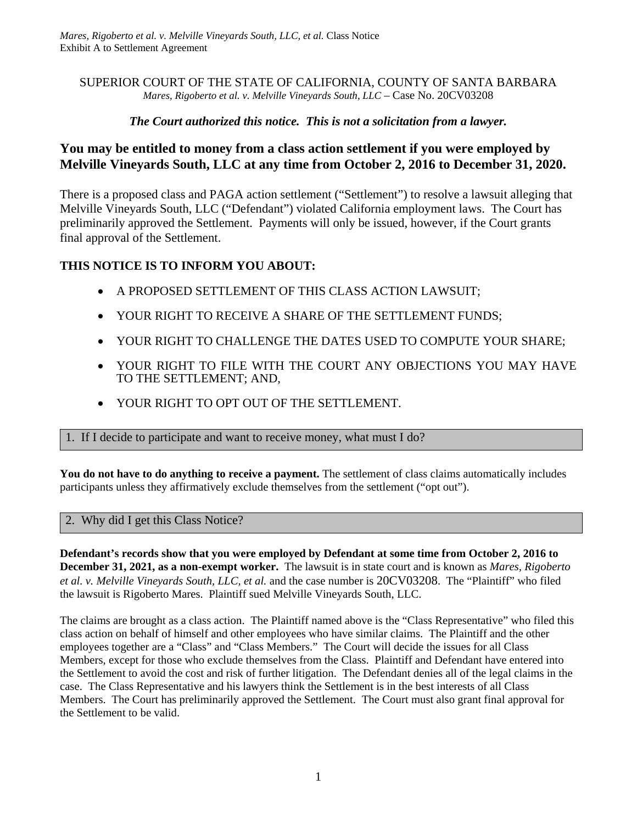#### SUPERIOR COURT OF THE STATE OF CALIFORNIA, COUNTY OF SANTA BARBARA *Mares, Rigoberto et al. v. Melville Vineyards South, LLC* – Case No. 20CV03208

### *The Court authorized this notice. This is not a solicitation from a lawyer.*

# **You may be entitled to money from a class action settlement if you were employed by Melville Vineyards South, LLC at any time from October 2, 2016 to December 31, 2020.**

There is a proposed class and PAGA action settlement ("Settlement") to resolve a lawsuit alleging that Melville Vineyards South, LLC ("Defendant") violated California employment laws. The Court has preliminarily approved the Settlement. Payments will only be issued, however, if the Court grants final approval of the Settlement.

### **THIS NOTICE IS TO INFORM YOU ABOUT:**

- A PROPOSED SETTLEMENT OF THIS CLASS ACTION LAWSUIT;
- YOUR RIGHT TO RECEIVE A SHARE OF THE SETTLEMENT FUNDS;
- YOUR RIGHT TO CHALLENGE THE DATES USED TO COMPUTE YOUR SHARE;
- YOUR RIGHT TO FILE WITH THE COURT ANY OBJECTIONS YOU MAY HAVE TO THE SETTLEMENT; AND,
- YOUR RIGHT TO OPT OUT OF THE SETTLEMENT.

1. If I decide to participate and want to receive money, what must I do?

**You do not have to do anything to receive a payment.** The settlement of class claims automatically includes participants unless they affirmatively exclude themselves from the settlement ("opt out").

#### 2. Why did I get this Class Notice?

**Defendant's records show that you were employed by Defendant at some time from October 2, 2016 to December 31, 2021, as a non-exempt worker.** The lawsuit is in state court and is known as *Mares, Rigoberto et al. v. Melville Vineyards South, LLC, et al.* and the case number is 20CV03208. The "Plaintiff" who filed the lawsuit is Rigoberto Mares. Plaintiff sued Melville Vineyards South, LLC.

The claims are brought as a class action. The Plaintiff named above is the "Class Representative" who filed this class action on behalf of himself and other employees who have similar claims. The Plaintiff and the other employees together are a "Class" and "Class Members." The Court will decide the issues for all Class Members, except for those who exclude themselves from the Class. Plaintiff and Defendant have entered into the Settlement to avoid the cost and risk of further litigation. The Defendant denies all of the legal claims in the case. The Class Representative and his lawyers think the Settlement is in the best interests of all Class Members. The Court has preliminarily approved the Settlement. The Court must also grant final approval for the Settlement to be valid.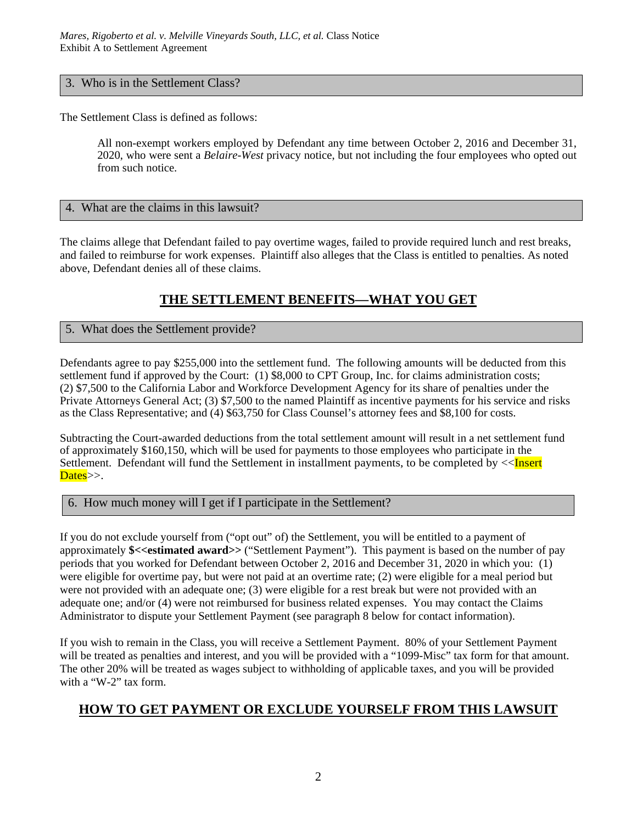#### 3. Who is in the Settlement Class?

The Settlement Class is defined as follows:

All non-exempt workers employed by Defendant any time between October 2, 2016 and December 31, 2020, who were sent a *Belaire-West* privacy notice, but not including the four employees who opted out from such notice.

#### 4. What are the claims in this lawsuit?

The claims allege that Defendant failed to pay overtime wages, failed to provide required lunch and rest breaks, and failed to reimburse for work expenses. Plaintiff also alleges that the Class is entitled to penalties. As noted above, Defendant denies all of these claims.

# **THE SETTLEMENT BENEFITS—WHAT YOU GET**

### 5. What does the Settlement provide?

Defendants agree to pay \$255,000 into the settlement fund. The following amounts will be deducted from this settlement fund if approved by the Court: (1) \$8,000 to CPT Group, Inc. for claims administration costs; (2) \$7,500 to the California Labor and Workforce Development Agency for its share of penalties under the Private Attorneys General Act; (3) \$7,500 to the named Plaintiff as incentive payments for his service and risks as the Class Representative; and (4) \$63,750 for Class Counsel's attorney fees and \$8,100 for costs.

Subtracting the Court-awarded deductions from the total settlement amount will result in a net settlement fund of approximately \$160,150, which will be used for payments to those employees who participate in the Settlement. Defendant will fund the Settlement in installment payments, to be completed by <<Insert Dates>>.

#### 6. How much money will I get if I participate in the Settlement?

If you do not exclude yourself from ("opt out" of) the Settlement, you will be entitled to a payment of approximately **\$<<estimated award>>** ("Settlement Payment"). This payment is based on the number of pay periods that you worked for Defendant between October 2, 2016 and December 31, 2020 in which you: (1) were eligible for overtime pay, but were not paid at an overtime rate; (2) were eligible for a meal period but were not provided with an adequate one; (3) were eligible for a rest break but were not provided with an adequate one; and/or (4) were not reimbursed for business related expenses. You may contact the Claims Administrator to dispute your Settlement Payment (see paragraph 8 below for contact information).

If you wish to remain in the Class, you will receive a Settlement Payment. 80% of your Settlement Payment will be treated as penalties and interest, and you will be provided with a "1099-Misc" tax form for that amount. The other 20% will be treated as wages subject to withholding of applicable taxes, and you will be provided with a "W-2" tax form.

# **HOW TO GET PAYMENT OR EXCLUDE YOURSELF FROM THIS LAWSUIT**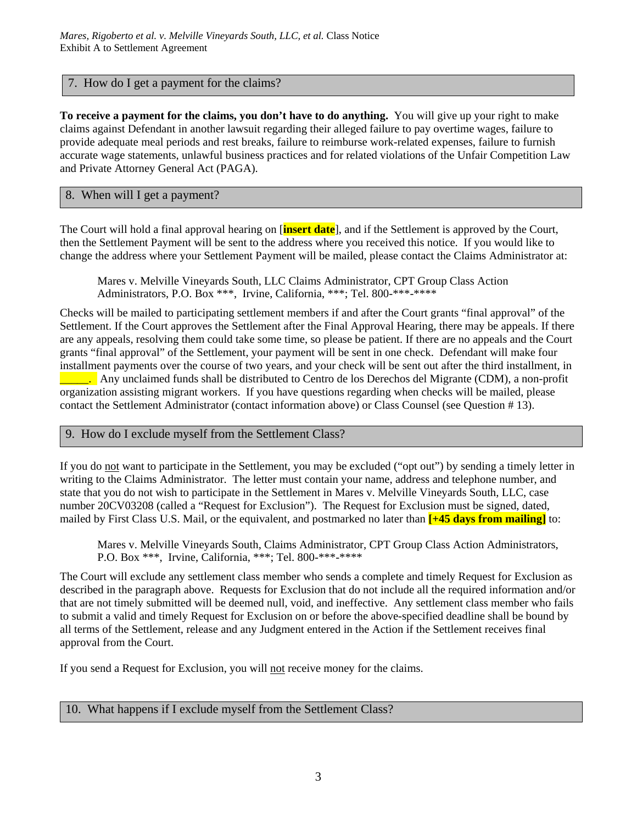#### 7. How do I get a payment for the claims?

**To receive a payment for the claims, you don't have to do anything.** You will give up your right to make claims against Defendant in another lawsuit regarding their alleged failure to pay overtime wages, failure to provide adequate meal periods and rest breaks, failure to reimburse work-related expenses, failure to furnish accurate wage statements, unlawful business practices and for related violations of the Unfair Competition Law and Private Attorney General Act (PAGA).

#### 8. When will I get a payment?

The Court will hold a final approval hearing on [**insert date**], and if the Settlement is approved by the Court, then the Settlement Payment will be sent to the address where you received this notice. If you would like to change the address where your Settlement Payment will be mailed, please contact the Claims Administrator at:

Mares v. Melville Vineyards South, LLC Claims Administrator, CPT Group Class Action Administrators, P.O. Box \*\*\*, Irvine, California, \*\*\*; Tel. 800-\*\*\*-\*\*\*\*

Checks will be mailed to participating settlement members if and after the Court grants "final approval" of the Settlement. If the Court approves the Settlement after the Final Approval Hearing, there may be appeals. If there are any appeals, resolving them could take some time, so please be patient. If there are no appeals and the Court grants "final approval" of the Settlement, your payment will be sent in one check. Defendant will make four installment payments over the course of two years, and your check will be sent out after the third installment, in \_\_\_\_\_. Any unclaimed funds shall be distributed to Centro de los Derechos del Migrante (CDM), a non-profit organization assisting migrant workers. If you have questions regarding when checks will be mailed, please

contact the Settlement Administrator (contact information above) or Class Counsel (see Question # 13).

#### 9. How do I exclude myself from the Settlement Class?

If you do not want to participate in the Settlement, you may be excluded ("opt out") by sending a timely letter in writing to the Claims Administrator. The letter must contain your name, address and telephone number, and state that you do not wish to participate in the Settlement in Mares v. Melville Vineyards South, LLC, case number 20CV03208 (called a "Request for Exclusion"). The Request for Exclusion must be signed, dated, mailed by First Class U.S. Mail, or the equivalent, and postmarked no later than **[+45 days from mailing]** to:

Mares v. Melville Vineyards South, Claims Administrator, CPT Group Class Action Administrators, P.O. Box \*\*\*, Irvine, California, \*\*\*; Tel. 800-\*\*\*-\*\*\*\*

The Court will exclude any settlement class member who sends a complete and timely Request for Exclusion as described in the paragraph above. Requests for Exclusion that do not include all the required information and/or that are not timely submitted will be deemed null, void, and ineffective. Any settlement class member who fails to submit a valid and timely Request for Exclusion on or before the above-specified deadline shall be bound by all terms of the Settlement, release and any Judgment entered in the Action if the Settlement receives final approval from the Court.

If you send a Request for Exclusion, you will not receive money for the claims.

#### 10. What happens if I exclude myself from the Settlement Class?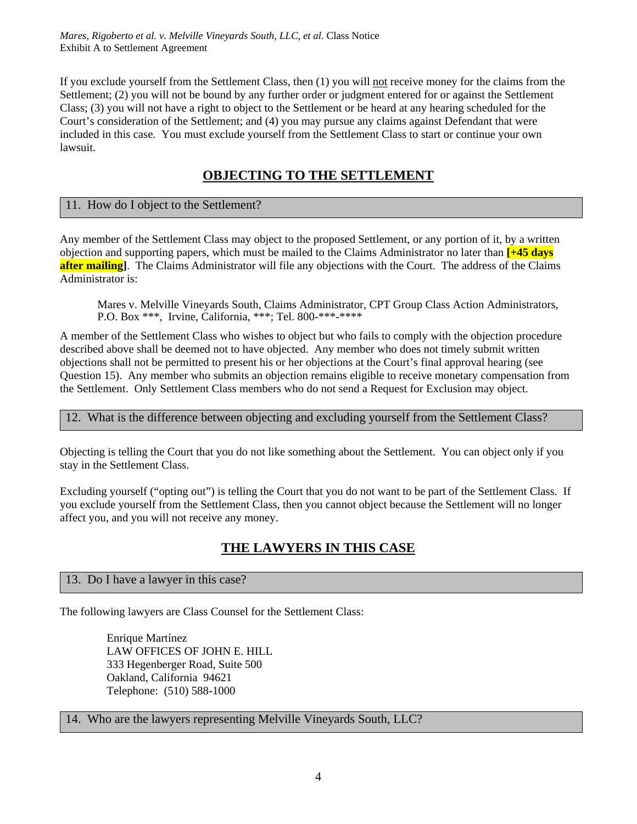If you exclude yourself from the Settlement Class, then (1) you will not receive money for the claims from the Settlement; (2) you will not be bound by any further order or judgment entered for or against the Settlement Class; (3) you will not have a right to object to the Settlement or be heard at any hearing scheduled for the Court's consideration of the Settlement; and (4) you may pursue any claims against Defendant that were included in this case. You must exclude yourself from the Settlement Class to start or continue your own lawsuit.

# **OBJECTING TO THE SETTLEMENT**

### 11. How do I object to the Settlement?

Any member of the Settlement Class may object to the proposed Settlement, or any portion of it, by a written objection and supporting papers, which must be mailed to the Claims Administrator no later than **[+45 days after mailing**]. The Claims Administrator will file any objections with the Court. The address of the Claims Administrator is:

Mares v. Melville Vineyards South, Claims Administrator, CPT Group Class Action Administrators, P.O. Box \*\*\*, Irvine, California, \*\*\*; Tel. 800-\*\*\*-\*\*\*\*

A member of the Settlement Class who wishes to object but who fails to comply with the objection procedure described above shall be deemed not to have objected. Any member who does not timely submit written objections shall not be permitted to present his or her objections at the Court's final approval hearing (see Question 15). Any member who submits an objection remains eligible to receive monetary compensation from the Settlement. Only Settlement Class members who do not send a Request for Exclusion may object.

#### 12. What is the difference between objecting and excluding yourself from the Settlement Class?

Objecting is telling the Court that you do not like something about the Settlement. You can object only if you stay in the Settlement Class.

Excluding yourself ("opting out") is telling the Court that you do not want to be part of the Settlement Class. If you exclude yourself from the Settlement Class, then you cannot object because the Settlement will no longer affect you, and you will not receive any money.

# **THE LAWYERS IN THIS CASE**

#### 13. Do I have a lawyer in this case?

The following lawyers are Class Counsel for the Settlement Class:

Enrique Martínez LAW OFFICES OF JOHN E. HILL 333 Hegenberger Road, Suite 500 Oakland, California 94621 Telephone: (510) 588-1000

#### 14. Who are the lawyers representing Melville Vineyards South, LLC?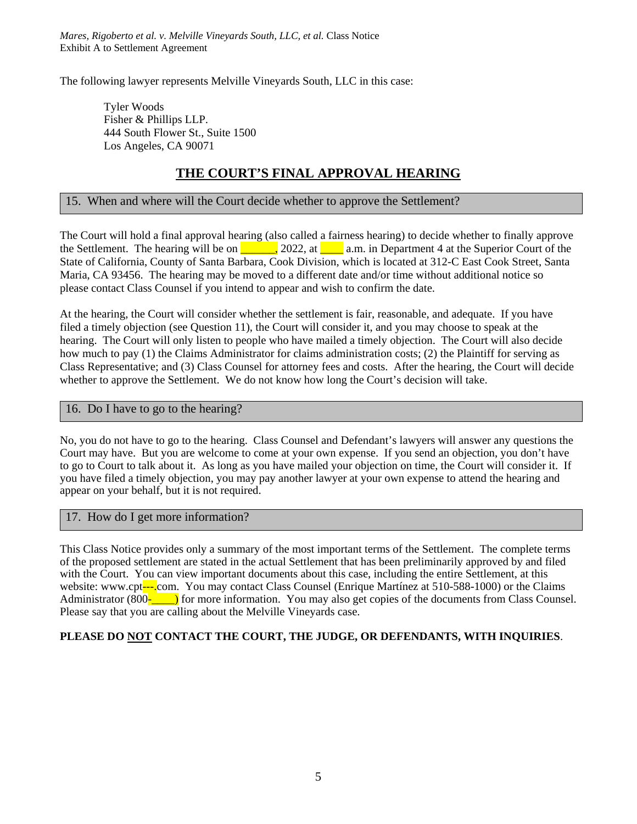*Mares, Rigoberto et al. v. Melville Vineyards South, LLC, et al.* Class Notice Exhibit A to Settlement Agreement

The following lawyer represents Melville Vineyards South, LLC in this case:

Tyler Woods Fisher & Phillips LLP. 444 South Flower St., Suite 1500 Los Angeles, CA 90071

# **THE COURT'S FINAL APPROVAL HEARING**

### 15. When and where will the Court decide whether to approve the Settlement?

The Court will hold a final approval hearing (also called a fairness hearing) to decide whether to finally approve the Settlement. The hearing will be on  $\Box$ , 2022, at  $\Box$  a.m. in Department 4 at the Superior Court of the State of California, County of Santa Barbara, Cook Division, which is located at 312-C East Cook Street, Santa Maria, CA 93456. The hearing may be moved to a different date and/or time without additional notice so please contact Class Counsel if you intend to appear and wish to confirm the date.

At the hearing, the Court will consider whether the settlement is fair, reasonable, and adequate. If you have filed a timely objection (see Question 11), the Court will consider it, and you may choose to speak at the hearing. The Court will only listen to people who have mailed a timely objection. The Court will also decide how much to pay (1) the Claims Administrator for claims administration costs; (2) the Plaintiff for serving as Class Representative; and (3) Class Counsel for attorney fees and costs.After the hearing, the Court will decide whether to approve the Settlement. We do not know how long the Court's decision will take.

#### 16. Do I have to go to the hearing?

No, you do not have to go to the hearing. Class Counsel and Defendant's lawyers will answer any questions the Court may have. But you are welcome to come at your own expense. If you send an objection, you don't have to go to Court to talk about it. As long as you have mailed your objection on time, the Court will consider it. If you have filed a timely objection, you may pay another lawyer at your own expense to attend the hearing and appear on your behalf, but it is not required.

#### 17. How do I get more information?

This Class Notice provides only a summary of the most important terms of the Settlement. The complete terms of the proposed settlement are stated in the actual Settlement that has been preliminarily approved by and filed with the Court. You can view important documents about this case, including the entire Settlement, at this website: www.cpt---.com. You may contact Class Counsel (Enrique Martínez at 510-588-1000) or the Claims Administrator (800<sup>-</sup><sub>call</sub>) for more information. You may also get copies of the documents from Class Counsel. Please say that you are calling about the Melville Vineyards case.

#### **PLEASE DO NOT CONTACT THE COURT, THE JUDGE, OR DEFENDANTS, WITH INQUIRIES**.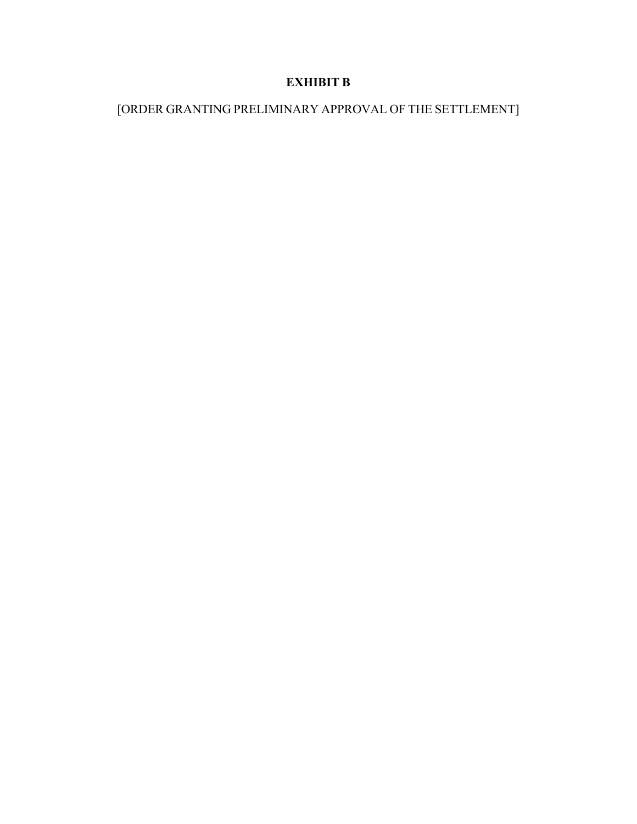# **EXHIBIT B**

# [ORDER GRANTING PRELIMINARY APPROVAL OF THE SETTLEMENT]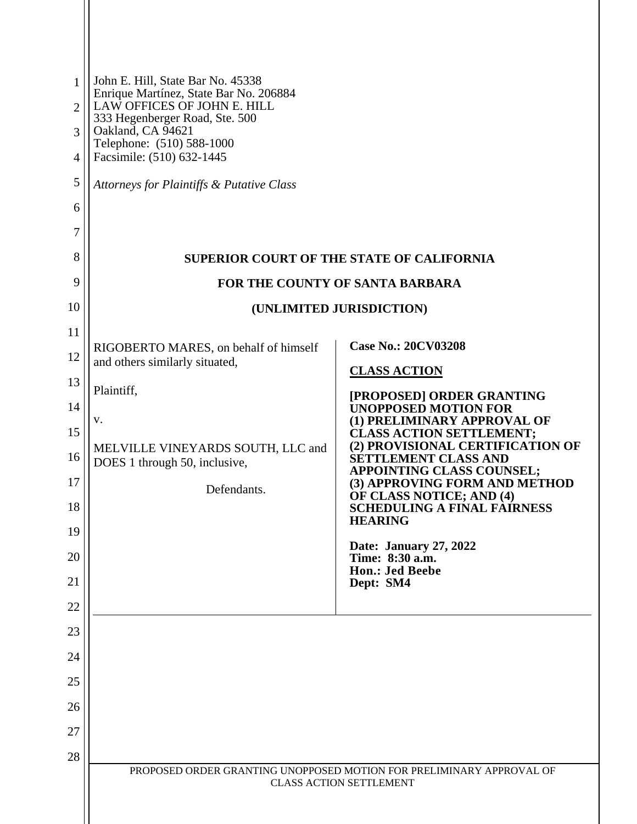| 1<br>$\overline{2}$<br>3<br>4<br>5<br>6<br>7                   | John E. Hill, State Bar No. 45338<br>Enrique Martínez, State Bar No. 206884<br>LAW OFFICES OF JOHN E. HILL<br>333 Hegenberger Road, Ste. 500<br>Oakland, CA 94621<br>Telephone: (510) 588-1000<br>Facsimile: (510) 632-1445<br>Attorneys for Plaintiffs & Putative Class |                                                                                                                                                                                                                                                                                                                                                                                                                                                                                                 |  |
|----------------------------------------------------------------|--------------------------------------------------------------------------------------------------------------------------------------------------------------------------------------------------------------------------------------------------------------------------|-------------------------------------------------------------------------------------------------------------------------------------------------------------------------------------------------------------------------------------------------------------------------------------------------------------------------------------------------------------------------------------------------------------------------------------------------------------------------------------------------|--|
| 8                                                              | <b>SUPERIOR COURT OF THE STATE OF CALIFORNIA</b>                                                                                                                                                                                                                         |                                                                                                                                                                                                                                                                                                                                                                                                                                                                                                 |  |
| 9                                                              |                                                                                                                                                                                                                                                                          | FOR THE COUNTY OF SANTA BARBARA                                                                                                                                                                                                                                                                                                                                                                                                                                                                 |  |
| 10                                                             |                                                                                                                                                                                                                                                                          | (UNLIMITED JURISDICTION)                                                                                                                                                                                                                                                                                                                                                                                                                                                                        |  |
| 11<br>12<br>13<br>14<br>15<br>16<br>17<br>18<br>19<br>20<br>21 | RIGOBERTO MARES, on behalf of himself<br>and others similarly situated,<br>Plaintiff,<br>v.<br>MELVILLE VINEYARDS SOUTH, LLC and<br>DOES 1 through 50, inclusive,<br>Defendants.                                                                                         | <b>Case No.: 20CV03208</b><br><b>CLASS ACTION</b><br>[PROPOSED] ORDER GRANTING<br><b>UNOPPOSED MOTION FOR</b><br>(1) PRELIMINARY APPROVAL OF<br><b>CLASS ACTION SETTLEMENT;</b><br>(2) PROVISIONAL CERTIFICATION OF<br><b>SETTLEMENT CLASS AND</b><br><b>APPOINTING CLASS COUNSEL;</b><br>(3) APPROVING FORM AND METHOD<br>OF CLASS NOTICE; AND (4)<br><b>SCHEDULING A FINAL FAIRNESS</b><br><b>HEARING</b><br>Date: January 27, 2022<br>Time: 8:30 a.m.<br><b>Hon.: Jed Beebe</b><br>Dept: SM4 |  |
| 22<br>23<br>24<br>25<br>26<br>27<br>28                         |                                                                                                                                                                                                                                                                          |                                                                                                                                                                                                                                                                                                                                                                                                                                                                                                 |  |
|                                                                |                                                                                                                                                                                                                                                                          | PROPOSED ORDER GRANTING UNOPPOSED MOTION FOR PRELIMINARY APPROVAL OF<br><b>CLASS ACTION SETTLEMENT</b>                                                                                                                                                                                                                                                                                                                                                                                          |  |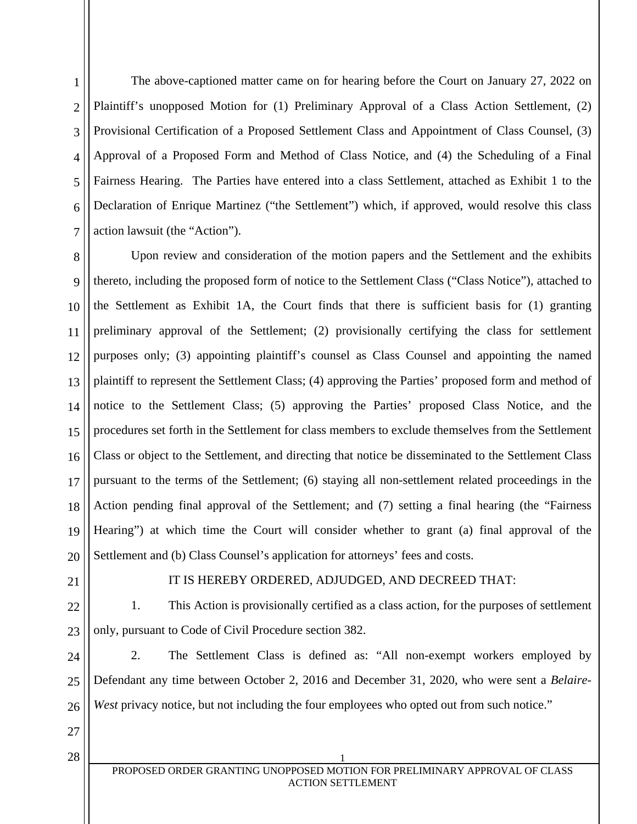1 2 3 4 5 6 7 The above-captioned matter came on for hearing before the Court on January 27, 2022 on Plaintiff's unopposed Motion for (1) Preliminary Approval of a Class Action Settlement, (2) Provisional Certification of a Proposed Settlement Class and Appointment of Class Counsel, (3) Approval of a Proposed Form and Method of Class Notice, and (4) the Scheduling of a Final Fairness Hearing. The Parties have entered into a class Settlement, attached as Exhibit 1 to the Declaration of Enrique Martinez ("the Settlement") which, if approved, would resolve this class action lawsuit (the "Action").

8 9 10 11 12 13 14 15 16 17 18 19 20 Upon review and consideration of the motion papers and the Settlement and the exhibits thereto, including the proposed form of notice to the Settlement Class ("Class Notice"), attached to the Settlement as Exhibit 1A, the Court finds that there is sufficient basis for (1) granting preliminary approval of the Settlement; (2) provisionally certifying the class for settlement purposes only; (3) appointing plaintiff's counsel as Class Counsel and appointing the named plaintiff to represent the Settlement Class; (4) approving the Parties' proposed form and method of notice to the Settlement Class; (5) approving the Parties' proposed Class Notice, and the procedures set forth in the Settlement for class members to exclude themselves from the Settlement Class or object to the Settlement, and directing that notice be disseminated to the Settlement Class pursuant to the terms of the Settlement; (6) staying all non-settlement related proceedings in the Action pending final approval of the Settlement; and (7) setting a final hearing (the "Fairness Hearing") at which time the Court will consider whether to grant (a) final approval of the Settlement and (b) Class Counsel's application for attorneys' fees and costs.

21

### IT IS HEREBY ORDERED, ADJUDGED, AND DECREED THAT:

22 23 1. This Action is provisionally certified as a class action, for the purposes of settlement only, pursuant to Code of Civil Procedure section 382.

24 25 26 2. The Settlement Class is defined as: "All non-exempt workers employed by Defendant any time between October 2, 2016 and December 31, 2020, who were sent a *Belaire-West* privacy notice, but not including the four employees who opted out from such notice."

27

 $28 \mid$  1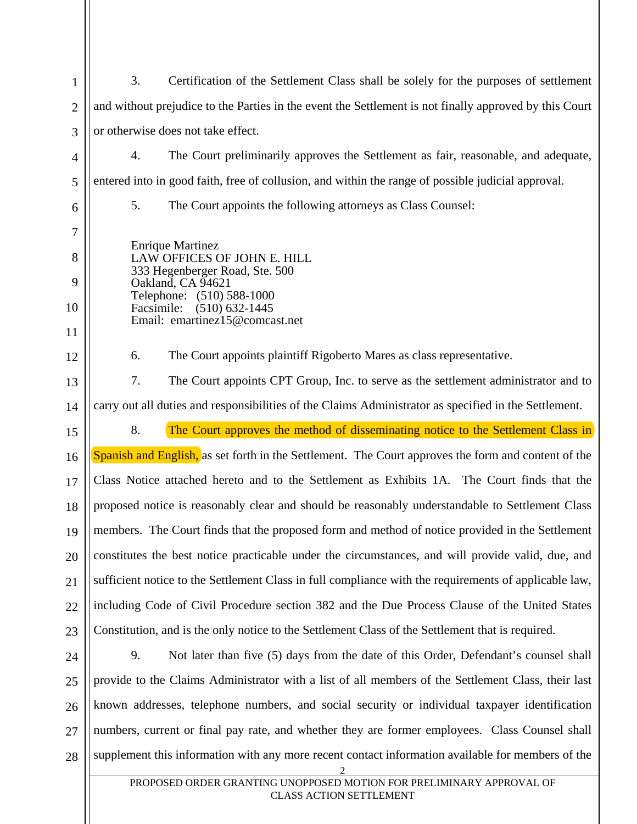| $\mathbf{1}$    | 3.<br>Certification of the Settlement Class shall be solely for the purposes of settlement                                                                                                                |                                                                                                        |
|-----------------|-----------------------------------------------------------------------------------------------------------------------------------------------------------------------------------------------------------|--------------------------------------------------------------------------------------------------------|
| $\overline{2}$  | and without prejudice to the Parties in the event the Settlement is not finally approved by this Court                                                                                                    |                                                                                                        |
| 3               | or otherwise does not take effect.                                                                                                                                                                        |                                                                                                        |
| $\overline{4}$  | 4.                                                                                                                                                                                                        | The Court preliminarily approves the Settlement as fair, reasonable, and adequate,                     |
| 5               | entered into in good faith, free of collusion, and within the range of possible judicial approval.                                                                                                        |                                                                                                        |
| 6               | 5.                                                                                                                                                                                                        | The Court appoints the following attorneys as Class Counsel:                                           |
| 7               | <b>Enrique Martinez</b><br>LAW OFFICES OF JOHN E. HILL<br>333 Hegenberger Road, Ste. 500<br>Oakland, CA 94621<br>Telephone: (510) 588-1000<br>Facsimile: (510) 632-1445<br>Email: emartinez15@comcast.net |                                                                                                        |
| 8               |                                                                                                                                                                                                           |                                                                                                        |
| 9               |                                                                                                                                                                                                           |                                                                                                        |
| 10              |                                                                                                                                                                                                           |                                                                                                        |
| 11              |                                                                                                                                                                                                           |                                                                                                        |
| 12              | 6.                                                                                                                                                                                                        | The Court appoints plaintiff Rigoberto Mares as class representative.                                  |
| 13              | 7.                                                                                                                                                                                                        | The Court appoints CPT Group, Inc. to serve as the settlement administrator and to                     |
| 14              | carry out all duties and responsibilities of the Claims Administrator as specified in the Settlement.                                                                                                     |                                                                                                        |
|                 |                                                                                                                                                                                                           |                                                                                                        |
| 15              | 8.                                                                                                                                                                                                        | The Court approves the method of disseminating notice to the Settlement Class in                       |
| 16              |                                                                                                                                                                                                           | Spanish and English, as set forth in the Settlement. The Court approves the form and content of the    |
| 17              |                                                                                                                                                                                                           | Class Notice attached hereto and to the Settlement as Exhibits 1A. The Court finds that the            |
| 18              |                                                                                                                                                                                                           | proposed notice is reasonably clear and should be reasonably understandable to Settlement Class        |
| 19 <sup>1</sup> |                                                                                                                                                                                                           | members. The Court finds that the proposed form and method of notice provided in the Settlement        |
| 20              |                                                                                                                                                                                                           | constitutes the best notice practicable under the circumstances, and will provide valid, due, and      |
| 21              |                                                                                                                                                                                                           | sufficient notice to the Settlement Class in full compliance with the requirements of applicable law,  |
| 22              |                                                                                                                                                                                                           | including Code of Civil Procedure section 382 and the Due Process Clause of the United States          |
| 23              |                                                                                                                                                                                                           | Constitution, and is the only notice to the Settlement Class of the Settlement that is required.       |
| 24              | 9.                                                                                                                                                                                                        | Not later than five (5) days from the date of this Order, Defendant's counsel shall                    |
| 25              |                                                                                                                                                                                                           | provide to the Claims Administrator with a list of all members of the Settlement Class, their last     |
| 26              |                                                                                                                                                                                                           | known addresses, telephone numbers, and social security or individual taxpayer identification          |
| 27              |                                                                                                                                                                                                           | numbers, current or final pay rate, and whether they are former employees. Class Counsel shall         |
| 28              |                                                                                                                                                                                                           | supplement this information with any more recent contact information available for members of the<br>2 |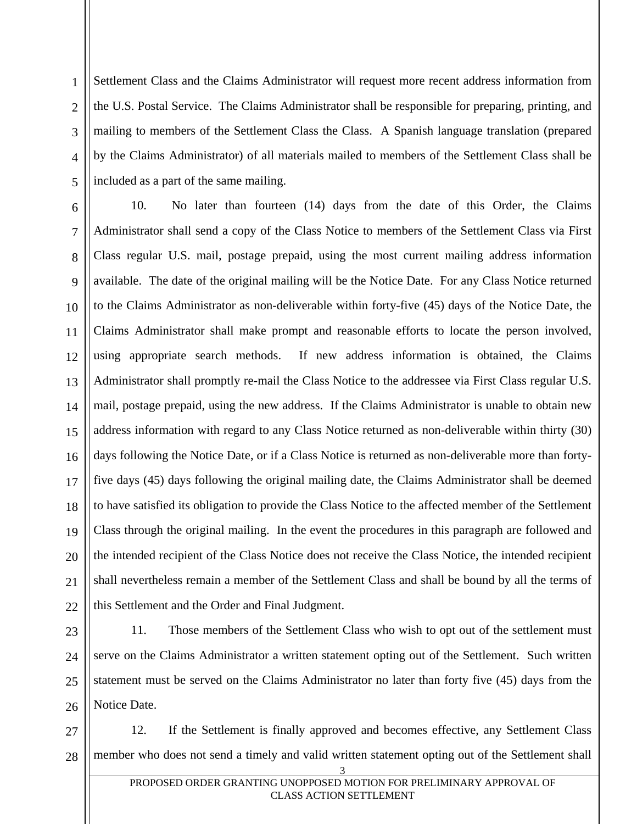1 2 3 4 5 Settlement Class and the Claims Administrator will request more recent address information from the U.S. Postal Service. The Claims Administrator shall be responsible for preparing, printing, and mailing to members of the Settlement Class the Class. A Spanish language translation (prepared by the Claims Administrator) of all materials mailed to members of the Settlement Class shall be included as a part of the same mailing.

6 7 8 9 10 11 12 13 14 15 16 17 18 19 20 21 22 10. No later than fourteen (14) days from the date of this Order, the Claims Administrator shall send a copy of the Class Notice to members of the Settlement Class via First Class regular U.S. mail, postage prepaid, using the most current mailing address information available. The date of the original mailing will be the Notice Date. For any Class Notice returned to the Claims Administrator as non-deliverable within forty-five (45) days of the Notice Date, the Claims Administrator shall make prompt and reasonable efforts to locate the person involved, using appropriate search methods. If new address information is obtained, the Claims Administrator shall promptly re-mail the Class Notice to the addressee via First Class regular U.S. mail, postage prepaid, using the new address. If the Claims Administrator is unable to obtain new address information with regard to any Class Notice returned as non-deliverable within thirty (30) days following the Notice Date, or if a Class Notice is returned as non-deliverable more than fortyfive days (45) days following the original mailing date, the Claims Administrator shall be deemed to have satisfied its obligation to provide the Class Notice to the affected member of the Settlement Class through the original mailing. In the event the procedures in this paragraph are followed and the intended recipient of the Class Notice does not receive the Class Notice, the intended recipient shall nevertheless remain a member of the Settlement Class and shall be bound by all the terms of this Settlement and the Order and Final Judgment.

23 24 25 26 11. Those members of the Settlement Class who wish to opt out of the settlement must serve on the Claims Administrator a written statement opting out of the Settlement. Such written statement must be served on the Claims Administrator no later than forty five (45) days from the Notice Date.

27 28 12. If the Settlement is finally approved and becomes effective, any Settlement Class member who does not send a timely and valid written statement opting out of the Settlement shall

3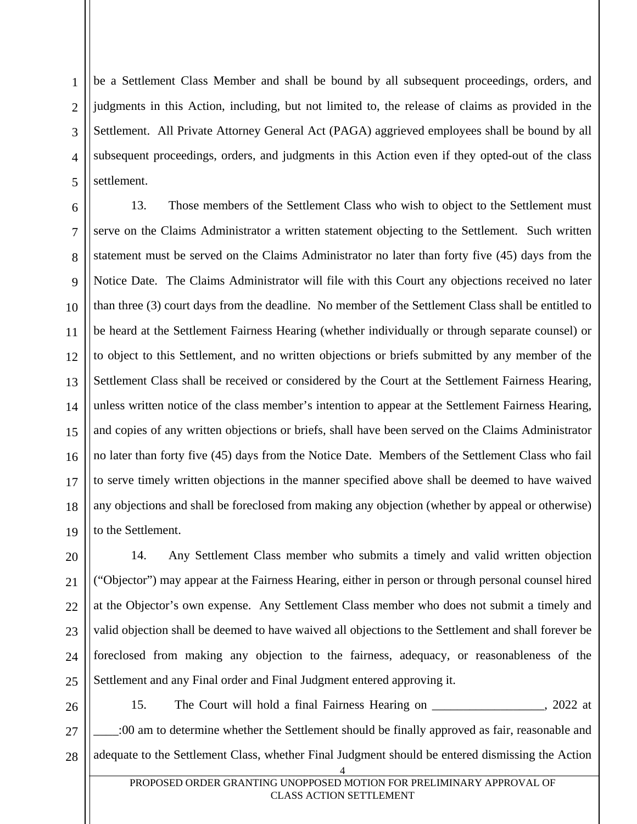2 3 4 5 be a Settlement Class Member and shall be bound by all subsequent proceedings, orders, and judgments in this Action, including, but not limited to, the release of claims as provided in the Settlement. All Private Attorney General Act (PAGA) aggrieved employees shall be bound by all subsequent proceedings, orders, and judgments in this Action even if they opted-out of the class settlement.

1

6 7 8 9 10 11 12 13 14 15 16 17 18 19 13. Those members of the Settlement Class who wish to object to the Settlement must serve on the Claims Administrator a written statement objecting to the Settlement. Such written statement must be served on the Claims Administrator no later than forty five (45) days from the Notice Date. The Claims Administrator will file with this Court any objections received no later than three (3) court days from the deadline. No member of the Settlement Class shall be entitled to be heard at the Settlement Fairness Hearing (whether individually or through separate counsel) or to object to this Settlement, and no written objections or briefs submitted by any member of the Settlement Class shall be received or considered by the Court at the Settlement Fairness Hearing, unless written notice of the class member's intention to appear at the Settlement Fairness Hearing, and copies of any written objections or briefs, shall have been served on the Claims Administrator no later than forty five (45) days from the Notice Date. Members of the Settlement Class who fail to serve timely written objections in the manner specified above shall be deemed to have waived any objections and shall be foreclosed from making any objection (whether by appeal or otherwise) to the Settlement.

20 21 22 23 24 25 14. Any Settlement Class member who submits a timely and valid written objection ("Objector") may appear at the Fairness Hearing, either in person or through personal counsel hired at the Objector's own expense. Any Settlement Class member who does not submit a timely and valid objection shall be deemed to have waived all objections to the Settlement and shall forever be foreclosed from making any objection to the fairness, adequacy, or reasonableness of the Settlement and any Final order and Final Judgment entered approving it.

26 27 28 4 15. The Court will hold a final Fairness Hearing on \_\_\_\_\_\_\_\_\_\_\_\_\_\_\_\_\_\_, 2022 at \_\_\_\_:00 am to determine whether the Settlement should be finally approved as fair, reasonable and adequate to the Settlement Class, whether Final Judgment should be entered dismissing the Action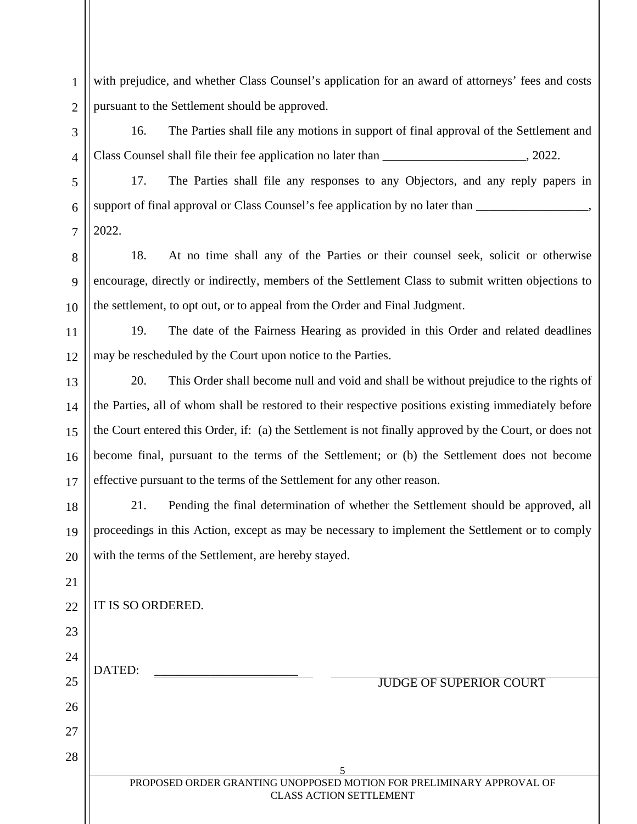2 with prejudice, and whether Class Counsel's application for an award of attorneys' fees and costs pursuant to the Settlement should be approved.

16. The Parties shall file any motions in support of final approval of the Settlement and Class Counsel shall file their fee application no later than \_\_\_\_\_\_\_\_\_\_\_\_\_\_\_\_\_\_\_\_\_\_\_, 2022.

5 6 7 17. The Parties shall file any responses to any Objectors, and any reply papers in support of final approval or Class Counsel's fee application by no later than \_\_\_\_\_\_\_\_\_\_\_\_\_\_\_ 2022.

10 18. At no time shall any of the Parties or their counsel seek, solicit or otherwise encourage, directly or indirectly, members of the Settlement Class to submit written objections to the settlement, to opt out, or to appeal from the Order and Final Judgment.

11 12 19. The date of the Fairness Hearing as provided in this Order and related deadlines may be rescheduled by the Court upon notice to the Parties.

13 14 15 16 17 20. This Order shall become null and void and shall be without prejudice to the rights of the Parties, all of whom shall be restored to their respective positions existing immediately before the Court entered this Order, if: (a) the Settlement is not finally approved by the Court, or does not become final, pursuant to the terms of the Settlement; or (b) the Settlement does not become effective pursuant to the terms of the Settlement for any other reason.

18 19 20 21. Pending the final determination of whether the Settlement should be approved, all proceedings in this Action, except as may be necessary to implement the Settlement or to comply with the terms of the Settlement, are hereby stayed.

IT IS SO ORDERED.

DATED:

1

3

4

8

9

21

22

23

24

25

26

27

28

JUDGE OF SUPERIOR COURT

5 PROPOSED ORDER GRANTING UNOPPOSED MOTION FOR PRELIMINARY APPROVAL OF CLASS ACTION SETTLEMENT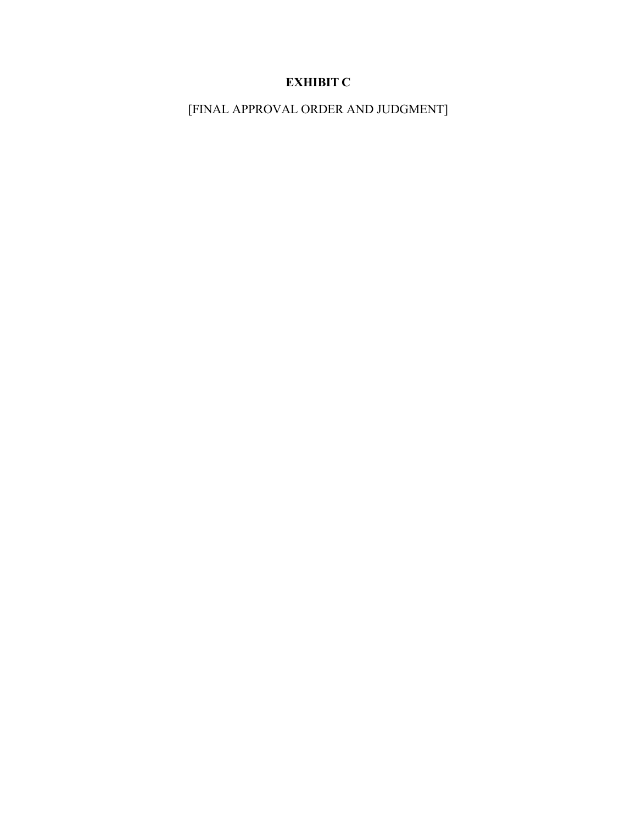# **EXHIBIT C**

[FINAL APPROVAL ORDER AND JUDGMENT]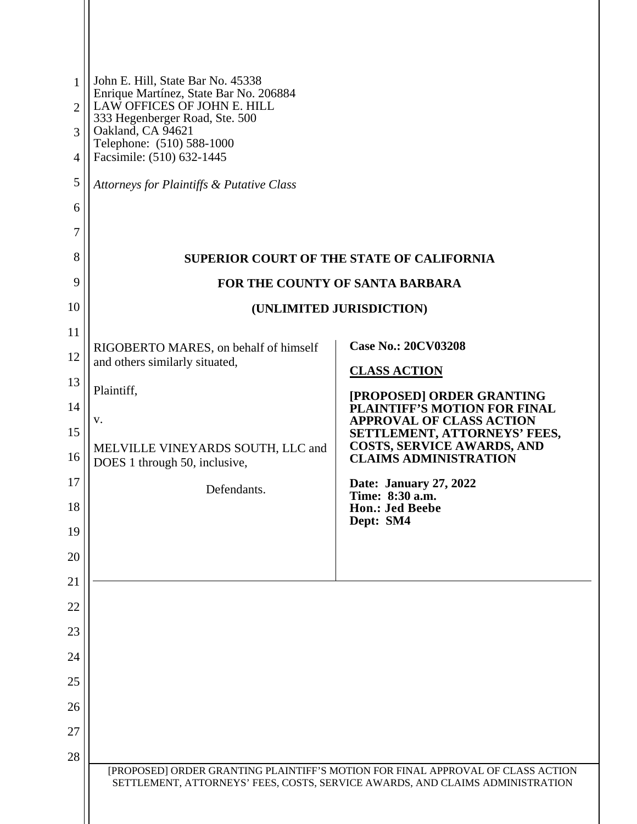| $\mathbf{1}$   | John E. Hill, State Bar No. 45338<br>Enrique Martínez, State Bar No. 206884 |                                                                                                                                                                  |  |  |
|----------------|-----------------------------------------------------------------------------|------------------------------------------------------------------------------------------------------------------------------------------------------------------|--|--|
| $\overline{2}$ | LAW OFFICES OF JOHN E. HILL<br>333 Hegenberger Road, Ste. 500               |                                                                                                                                                                  |  |  |
| 3<br>4         | Oakland, CA 94621<br>Telephone: (510) 588-1000<br>Facsimile: (510) 632-1445 |                                                                                                                                                                  |  |  |
| 5              | Attorneys for Plaintiffs & Putative Class                                   |                                                                                                                                                                  |  |  |
| 6              |                                                                             |                                                                                                                                                                  |  |  |
| 7              |                                                                             |                                                                                                                                                                  |  |  |
| 8              | <b>SUPERIOR COURT OF THE STATE OF CALIFORNIA</b>                            |                                                                                                                                                                  |  |  |
| 9              |                                                                             | FOR THE COUNTY OF SANTA BARBARA                                                                                                                                  |  |  |
| 10             |                                                                             | (UNLIMITED JURISDICTION)                                                                                                                                         |  |  |
| 11             | RIGOBERTO MARES, on behalf of himself                                       | <b>Case No.: 20CV03208</b>                                                                                                                                       |  |  |
| 12             | and others similarly situated,                                              | <b>CLASS ACTION</b>                                                                                                                                              |  |  |
| 13             | Plaintiff,                                                                  | [PROPOSED] ORDER GRANTING                                                                                                                                        |  |  |
| 14             | V.                                                                          | PLAINTIFF'S MOTION FOR FINAL<br><b>APPROVAL OF CLASS ACTION</b>                                                                                                  |  |  |
| 15<br>16       | MELVILLE VINEYARDS SOUTH, LLC and<br>DOES 1 through 50, inclusive,          | SETTLEMENT, ATTORNEYS' FEES,<br>COSTS, SERVICE AWARDS, AND<br><b>CLAIMS ADMINISTRATION</b>                                                                       |  |  |
| 17             | Defendants.                                                                 | Date: January 27, 2022                                                                                                                                           |  |  |
| 18             |                                                                             | Time: 8:30 a.m.<br><b>Hon.: Jed Beebe</b><br>Dept: SM4                                                                                                           |  |  |
| 19             |                                                                             |                                                                                                                                                                  |  |  |
| 20             |                                                                             |                                                                                                                                                                  |  |  |
| 21             |                                                                             |                                                                                                                                                                  |  |  |
| 22             |                                                                             |                                                                                                                                                                  |  |  |
| 23             |                                                                             |                                                                                                                                                                  |  |  |
| 24             |                                                                             |                                                                                                                                                                  |  |  |
| 25             |                                                                             |                                                                                                                                                                  |  |  |
| 26<br>27       |                                                                             |                                                                                                                                                                  |  |  |
| 28             |                                                                             |                                                                                                                                                                  |  |  |
|                |                                                                             | [PROPOSED] ORDER GRANTING PLAINTIFF'S MOTION FOR FINAL APPROVAL OF CLASS ACTION<br>SETTLEMENT, ATTORNEYS' FEES, COSTS, SERVICE AWARDS, AND CLAIMS ADMINISTRATION |  |  |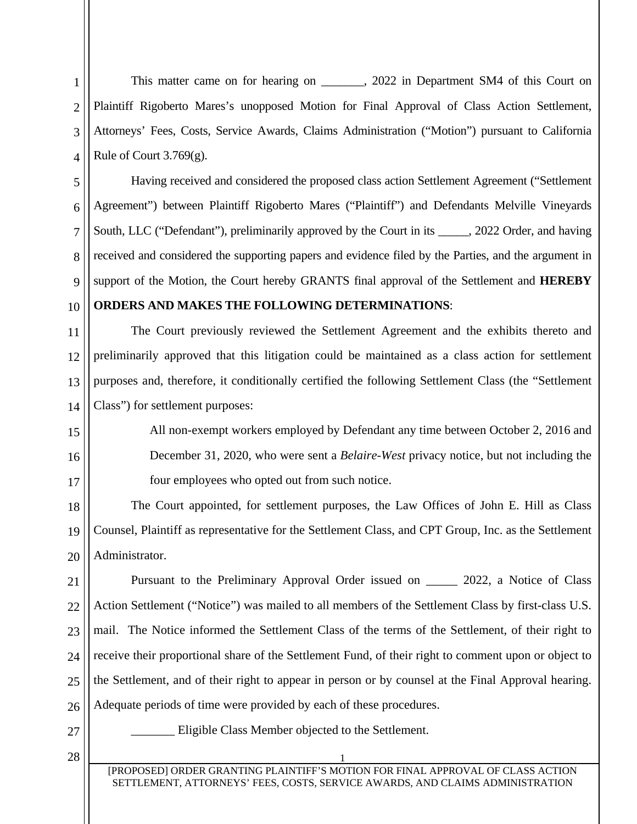This matter came on for hearing on . 2022 in Department SM4 of this Court on Plaintiff Rigoberto Mares's unopposed Motion for Final Approval of Class Action Settlement, Attorneys' Fees, Costs, Service Awards, Claims Administration ("Motion") pursuant to California Rule of Court  $3.769(g)$ .

Having received and considered the proposed class action Settlement Agreement ("Settlement Agreement") between Plaintiff Rigoberto Mares ("Plaintiff") and Defendants Melville Vineyards South, LLC ("Defendant"), preliminarily approved by the Court in its \_\_\_\_\_, 2022 Order, and having received and considered the supporting papers and evidence filed by the Parties, and the argument in support of the Motion, the Court hereby GRANTS final approval of the Settlement and **HEREBY** 

### **ORDERS AND MAKES THE FOLLOWING DETERMINATIONS**:

11 12 13 14 The Court previously reviewed the Settlement Agreement and the exhibits thereto and preliminarily approved that this litigation could be maintained as a class action for settlement purposes and, therefore, it conditionally certified the following Settlement Class (the "Settlement Class") for settlement purposes:

All non-exempt workers employed by Defendant any time between October 2, 2016 and December 31, 2020, who were sent a *Belaire-West* privacy notice, but not including the four employees who opted out from such notice.

18 19 20 The Court appointed, for settlement purposes, the Law Offices of John E. Hill as Class Counsel, Plaintiff as representative for the Settlement Class, and CPT Group, Inc. as the Settlement Administrator.

21 22 23 24 25 26 Pursuant to the Preliminary Approval Order issued on \_\_\_\_\_ 2022, a Notice of Class Action Settlement ("Notice") was mailed to all members of the Settlement Class by first-class U.S. mail. The Notice informed the Settlement Class of the terms of the Settlement, of their right to receive their proportional share of the Settlement Fund, of their right to comment upon or object to the Settlement, and of their right to appear in person or by counsel at the Final Approval hearing. Adequate periods of time were provided by each of these procedures.

27

1

2

3

4

5

6

7

8

9

10

15

16

17

Eligible Class Member objected to the Settlement.

 $28 \mid$  1

[PROPOSED] ORDER GRANTING PLAINTIFF'S MOTION FOR FINAL APPROVAL OF CLASS ACTION SETTLEMENT, ATTORNEYS' FEES, COSTS, SERVICE AWARDS, AND CLAIMS ADMINISTRATION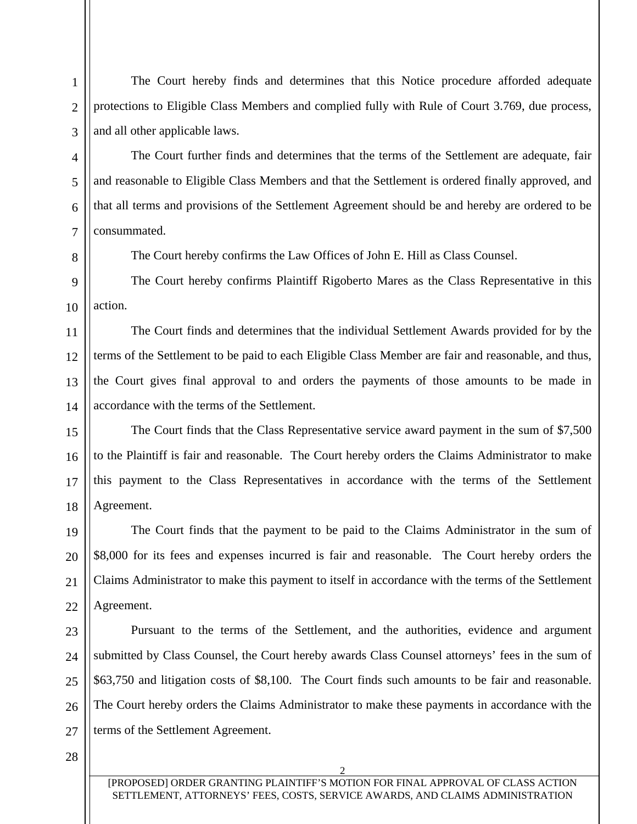The Court hereby finds and determines that this Notice procedure afforded adequate protections to Eligible Class Members and complied fully with Rule of Court 3.769, due process, and all other applicable laws.

The Court further finds and determines that the terms of the Settlement are adequate, fair and reasonable to Eligible Class Members and that the Settlement is ordered finally approved, and that all terms and provisions of the Settlement Agreement should be and hereby are ordered to be consummated.

The Court hereby confirms the Law Offices of John E. Hill as Class Counsel.

10 The Court hereby confirms Plaintiff Rigoberto Mares as the Class Representative in this action.

11 12 13 14 The Court finds and determines that the individual Settlement Awards provided for by the terms of the Settlement to be paid to each Eligible Class Member are fair and reasonable, and thus, the Court gives final approval to and orders the payments of those amounts to be made in accordance with the terms of the Settlement.

15 16 17 18 The Court finds that the Class Representative service award payment in the sum of \$7,500 to the Plaintiff is fair and reasonable. The Court hereby orders the Claims Administrator to make this payment to the Class Representatives in accordance with the terms of the Settlement Agreement.

19 20 21 22 The Court finds that the payment to be paid to the Claims Administrator in the sum of \$8,000 for its fees and expenses incurred is fair and reasonable. The Court hereby orders the Claims Administrator to make this payment to itself in accordance with the terms of the Settlement Agreement.

23 24 25 26 27 Pursuant to the terms of the Settlement, and the authorities, evidence and argument submitted by Class Counsel, the Court hereby awards Class Counsel attorneys' fees in the sum of \$63,750 and litigation costs of \$8,100. The Court finds such amounts to be fair and reasonable. The Court hereby orders the Claims Administrator to make these payments in accordance with the terms of the Settlement Agreement.

28

1

2

3

4

5

6

7

8

9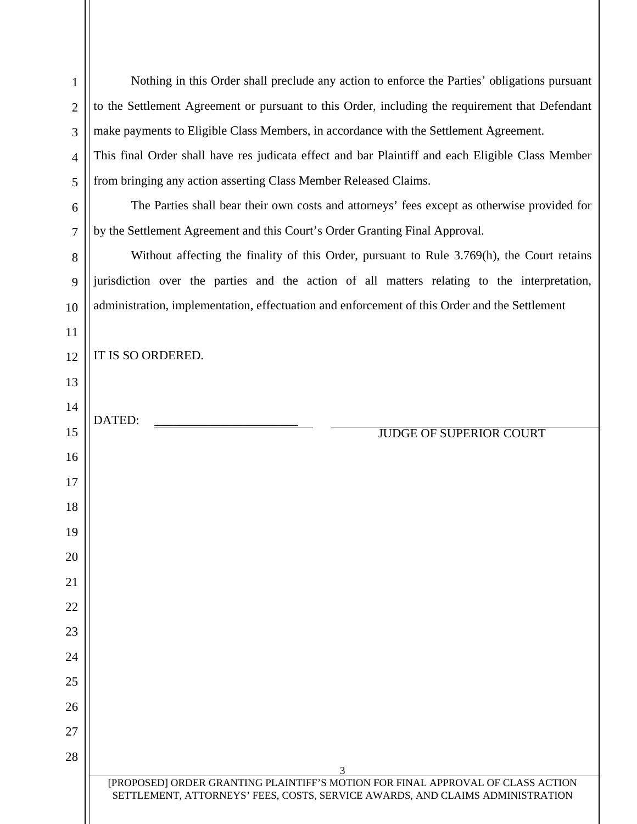| $\mathbf{1}$   | Nothing in this Order shall preclude any action to enforce the Parties' obligations pursuant                                                                     |  |
|----------------|------------------------------------------------------------------------------------------------------------------------------------------------------------------|--|
| $\overline{2}$ | to the Settlement Agreement or pursuant to this Order, including the requirement that Defendant                                                                  |  |
| 3              | make payments to Eligible Class Members, in accordance with the Settlement Agreement.                                                                            |  |
| $\overline{4}$ | This final Order shall have res judicata effect and bar Plaintiff and each Eligible Class Member                                                                 |  |
| 5              | from bringing any action asserting Class Member Released Claims.                                                                                                 |  |
| 6              | The Parties shall bear their own costs and attorneys' fees except as otherwise provided for                                                                      |  |
| 7              | by the Settlement Agreement and this Court's Order Granting Final Approval.                                                                                      |  |
| 8              | Without affecting the finality of this Order, pursuant to Rule 3.769(h), the Court retains                                                                       |  |
| 9              | jurisdiction over the parties and the action of all matters relating to the interpretation,                                                                      |  |
| 10             | administration, implementation, effectuation and enforcement of this Order and the Settlement                                                                    |  |
| 11             |                                                                                                                                                                  |  |
| 12             | IT IS SO ORDERED.                                                                                                                                                |  |
| 13             |                                                                                                                                                                  |  |
| 14             | DATED:                                                                                                                                                           |  |
| 15             | <b>JUDGE OF SUPERIOR COURT</b>                                                                                                                                   |  |
| 16             |                                                                                                                                                                  |  |
| 17             |                                                                                                                                                                  |  |
| 18             |                                                                                                                                                                  |  |
| 19             |                                                                                                                                                                  |  |
| 20             |                                                                                                                                                                  |  |
| 21             |                                                                                                                                                                  |  |
| 22             |                                                                                                                                                                  |  |
| 23             |                                                                                                                                                                  |  |
| 24             |                                                                                                                                                                  |  |
| 25             |                                                                                                                                                                  |  |
| 26             |                                                                                                                                                                  |  |
| 27             |                                                                                                                                                                  |  |
| 28             | 3                                                                                                                                                                |  |
|                | [PROPOSED] ORDER GRANTING PLAINTIFF'S MOTION FOR FINAL APPROVAL OF CLASS ACTION<br>SETTLEMENT, ATTORNEYS' FEES, COSTS, SERVICE AWARDS, AND CLAIMS ADMINISTRATION |  |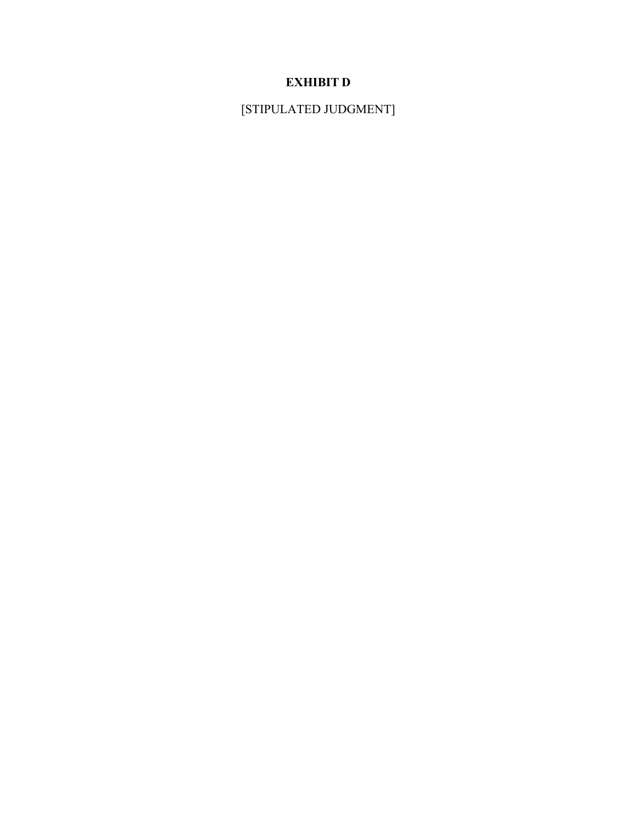# **EXHIBIT D**

[STIPULATED JUDGMENT]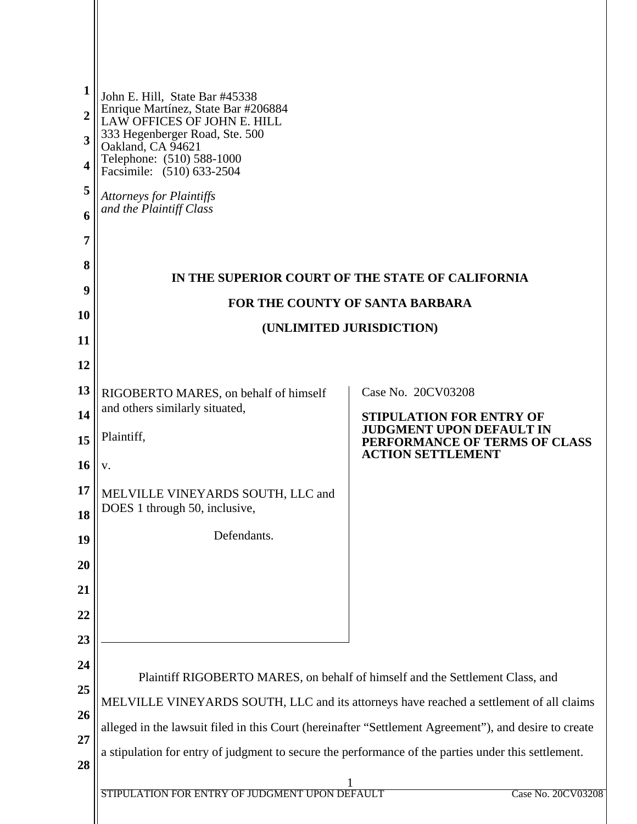| 1              | John E. Hill, State Bar #45338                                                                                            |                                                                    |  |  |  |
|----------------|---------------------------------------------------------------------------------------------------------------------------|--------------------------------------------------------------------|--|--|--|
| $\overline{2}$ | Enrique Martínez, State Bar #206884<br>LAW OFFICES OF JOHN E. HILL<br>333 Hegenberger Road, Ste. 500<br>Oakland, CA 94621 |                                                                    |  |  |  |
| 3              |                                                                                                                           |                                                                    |  |  |  |
| 4              | Telephone: (510) 588-1000<br>Facsimile: (510) 633-2504                                                                    |                                                                    |  |  |  |
| 5              | <b>Attorneys for Plaintiffs</b>                                                                                           |                                                                    |  |  |  |
| 6              | and the Plaintiff Class                                                                                                   |                                                                    |  |  |  |
| 7              |                                                                                                                           |                                                                    |  |  |  |
| 8              |                                                                                                                           |                                                                    |  |  |  |
| 9              | IN THE SUPERIOR COURT OF THE STATE OF CALIFORNIA<br>FOR THE COUNTY OF SANTA BARBARA                                       |                                                                    |  |  |  |
| 10             | (UNLIMITED JURISDICTION)                                                                                                  |                                                                    |  |  |  |
| 11             |                                                                                                                           |                                                                    |  |  |  |
| 12             |                                                                                                                           |                                                                    |  |  |  |
| 13             | RIGOBERTO MARES, on behalf of himself                                                                                     | Case No. 20CV03208                                                 |  |  |  |
| 14             | and others similarly situated,                                                                                            | <b>STIPULATION FOR ENTRY OF</b><br><b>JUDGMENT UPON DEFAULT IN</b> |  |  |  |
| 15             | Plaintiff,                                                                                                                | PERFORMANCE OF TERMS OF CLASS<br><b>ACTION SETTLEMENT</b>          |  |  |  |
| 16             | V.                                                                                                                        |                                                                    |  |  |  |
| 17             | MELVILLE VINEYARDS SOUTH, LLC and<br>DOES 1 through 50, inclusive                                                         |                                                                    |  |  |  |
| 18             |                                                                                                                           |                                                                    |  |  |  |
| 19             | Defendants.                                                                                                               |                                                                    |  |  |  |
| 20             |                                                                                                                           |                                                                    |  |  |  |
| 21             |                                                                                                                           |                                                                    |  |  |  |
| 22             |                                                                                                                           |                                                                    |  |  |  |
| 23             |                                                                                                                           |                                                                    |  |  |  |
| 24             | Plaintiff RIGOBERTO MARES, on behalf of himself and the Settlement Class, and                                             |                                                                    |  |  |  |
| 25             | MELVILLE VINEYARDS SOUTH, LLC and its attorneys have reached a settlement of all claims                                   |                                                                    |  |  |  |
| 26<br>27       | alleged in the lawsuit filed in this Court (hereinafter "Settlement Agreement"), and desire to create                     |                                                                    |  |  |  |
| 28             | a stipulation for entry of judgment to secure the performance of the parties under this settlement.                       |                                                                    |  |  |  |
|                |                                                                                                                           |                                                                    |  |  |  |
|                | STIPULATION FOR ENTRY OF JUDGMENT UPON DEFAULT                                                                            | Case No. 20CV03208                                                 |  |  |  |
|                |                                                                                                                           |                                                                    |  |  |  |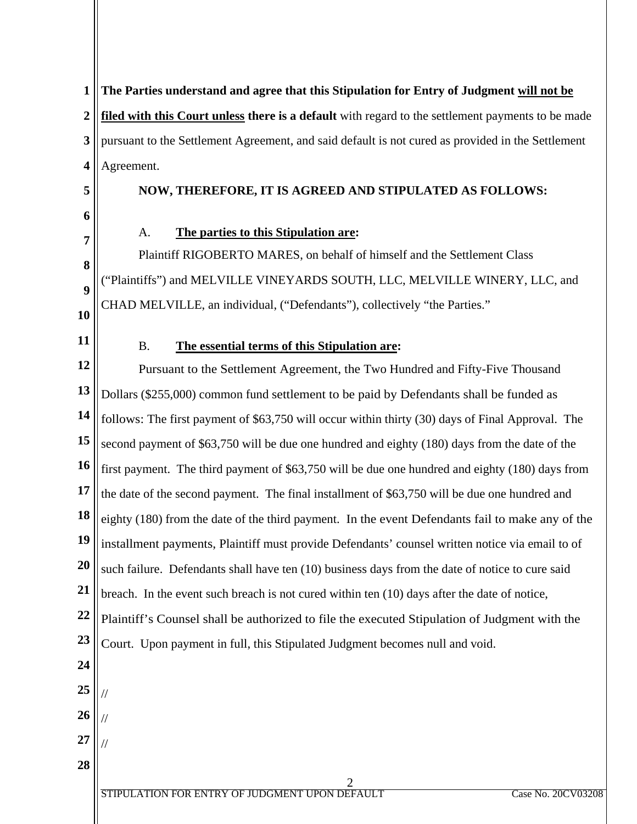**1 2 3 4 The Parties understand and agree that this Stipulation for Entry of Judgment will not be filed with this Court unless there is a default** with regard to the settlement payments to be made pursuant to the Settlement Agreement, and said default is not cured as provided in the Settlement Agreement.

**5 6**

**7**

**8**

**9**

## **NOW, THEREFORE, IT IS AGREED AND STIPULATED AS FOLLOWS:**

A. **The parties to this Stipulation are:**

Plaintiff RIGOBERTO MARES, on behalf of himself and the Settlement Class ("Plaintiffs") and MELVILLE VINEYARDS SOUTH, LLC, MELVILLE WINERY, LLC, and CHAD MELVILLE, an individual, ("Defendants"), collectively "the Parties."

**10 11**

## B. **The essential terms of this Stipulation are:**

**12 13 14 15 16 17 18 19 20 21 22 23 24 25 26 27 28** Pursuant to the Settlement Agreement, the Two Hundred and Fifty-Five Thousand Dollars (\$255,000) common fund settlement to be paid by Defendants shall be funded as follows: The first payment of \$63,750 will occur within thirty (30) days of Final Approval. The second payment of \$63,750 will be due one hundred and eighty (180) days from the date of the first payment. The third payment of \$63,750 will be due one hundred and eighty (180) days from the date of the second payment. The final installment of \$63,750 will be due one hundred and eighty (180) from the date of the third payment. In the event Defendants fail to make any of the installment payments, Plaintiff must provide Defendants' counsel written notice via email to of such failure. Defendants shall have ten (10) business days from the date of notice to cure said breach. In the event such breach is not cured within ten (10) days after the date of notice, Plaintiff's Counsel shall be authorized to file the executed Stipulation of Judgment with the Court. Upon payment in full, this Stipulated Judgment becomes null and void. // // //